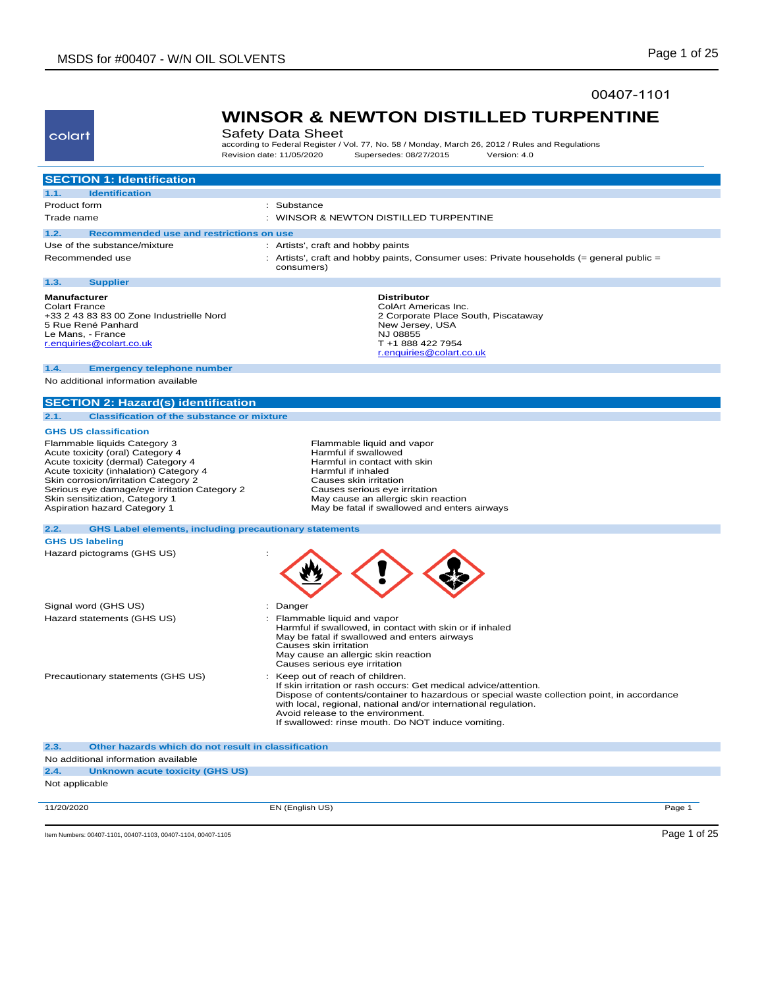**2.4. Unknown acute toxicity (GHS US)**

Not applicable

### 00407-1101



## **WINSOR & NEWTON DISTILLED TURPENTINE** Safety Data Sheet

according to Federal Register / Vol. 77, No. 58 / Monday, March 26, 2012 / Rules and Regulations<br>Revision date: 11/05/2020 Supersedes: 08/27/2015 Version: 4.0 Revision date: 11/05/2020 Supersedes: 08/27/2015 Version: 4.0

| <b>SECTION 1: Identification</b>                                                                                                                                                                                                                                                                           |                                                                                                                                                                                                                                                                                                                                                                 |
|------------------------------------------------------------------------------------------------------------------------------------------------------------------------------------------------------------------------------------------------------------------------------------------------------------|-----------------------------------------------------------------------------------------------------------------------------------------------------------------------------------------------------------------------------------------------------------------------------------------------------------------------------------------------------------------|
| <b>Identification</b><br>1.1.                                                                                                                                                                                                                                                                              |                                                                                                                                                                                                                                                                                                                                                                 |
| Product form                                                                                                                                                                                                                                                                                               | : Substance                                                                                                                                                                                                                                                                                                                                                     |
| Trade name                                                                                                                                                                                                                                                                                                 | : WINSOR & NEWTON DISTILLED TURPENTINE                                                                                                                                                                                                                                                                                                                          |
| 1.2.<br>Recommended use and restrictions on use                                                                                                                                                                                                                                                            |                                                                                                                                                                                                                                                                                                                                                                 |
| Use of the substance/mixture                                                                                                                                                                                                                                                                               | : Artists', craft and hobby paints                                                                                                                                                                                                                                                                                                                              |
| Recommended use                                                                                                                                                                                                                                                                                            | : Artists', craft and hobby paints, Consumer uses: Private households (= general public =<br>consumers)                                                                                                                                                                                                                                                         |
| 1.3.<br><b>Supplier</b>                                                                                                                                                                                                                                                                                    |                                                                                                                                                                                                                                                                                                                                                                 |
| <b>Manufacturer</b><br><b>Colart France</b><br>+33 2 43 83 83 00 Zone Industrielle Nord<br>5 Rue René Panhard<br>Le Mans, - France<br>r.enquiries@colart.co.uk                                                                                                                                             | <b>Distributor</b><br>ColArt Americas Inc.<br>2 Corporate Place South, Piscataway<br>New Jersey, USA<br>NJ 08855<br>T +1 888 422 7954<br>r.enquiries@colart.co.uk                                                                                                                                                                                               |
| 1.4.<br><b>Emergency telephone number</b>                                                                                                                                                                                                                                                                  |                                                                                                                                                                                                                                                                                                                                                                 |
| No additional information available                                                                                                                                                                                                                                                                        |                                                                                                                                                                                                                                                                                                                                                                 |
| <b>SECTION 2: Hazard(s) identification</b>                                                                                                                                                                                                                                                                 |                                                                                                                                                                                                                                                                                                                                                                 |
| <b>Classification of the substance or mixture</b><br>2.1.                                                                                                                                                                                                                                                  |                                                                                                                                                                                                                                                                                                                                                                 |
| <b>GHS US classification</b>                                                                                                                                                                                                                                                                               |                                                                                                                                                                                                                                                                                                                                                                 |
| Flammable liquids Category 3<br>Acute toxicity (oral) Category 4<br>Acute toxicity (dermal) Category 4<br>Acute toxicity (inhalation) Category 4<br>Skin corrosion/irritation Category 2<br>Serious eye damage/eye irritation Category 2<br>Skin sensitization, Category 1<br>Aspiration hazard Category 1 | Flammable liquid and vapor<br>Harmful if swallowed<br>Harmful in contact with skin<br>Harmful if inhaled<br>Causes skin irritation<br>Causes serious eye irritation<br>May cause an allergic skin reaction<br>May be fatal if swallowed and enters airways                                                                                                      |
| <b>GHS Label elements, including precautionary statements</b><br>2.2.<br><b>GHS US labeling</b>                                                                                                                                                                                                            |                                                                                                                                                                                                                                                                                                                                                                 |
| Hazard pictograms (GHS US)                                                                                                                                                                                                                                                                                 |                                                                                                                                                                                                                                                                                                                                                                 |
| Signal word (GHS US)                                                                                                                                                                                                                                                                                       | Danger<br>÷.                                                                                                                                                                                                                                                                                                                                                    |
| Hazard statements (GHS US)                                                                                                                                                                                                                                                                                 | : Flammable liquid and vapor<br>Harmful if swallowed, in contact with skin or if inhaled<br>May be fatal if swallowed and enters airways<br>Causes skin irritation<br>May cause an allergic skin reaction<br>Causes serious eye irritation                                                                                                                      |
| Precautionary statements (GHS US)                                                                                                                                                                                                                                                                          | Keep out of reach of children.<br>If skin irritation or rash occurs: Get medical advice/attention.<br>Dispose of contents/container to hazardous or special waste collection point, in accordance<br>with local, regional, national and/or international regulation.<br>Avoid release to the environment.<br>If swallowed: rinse mouth. Do NOT induce vomiting. |
| Other hazards which do not result in classification<br>2.3.                                                                                                                                                                                                                                                |                                                                                                                                                                                                                                                                                                                                                                 |
| No additional information available                                                                                                                                                                                                                                                                        |                                                                                                                                                                                                                                                                                                                                                                 |

11/20/2020 EN (English US) Page 1

Item Numbers: 00407-1101, 00407-1103, 00407-1104, 00407-1105 Page 1 of 25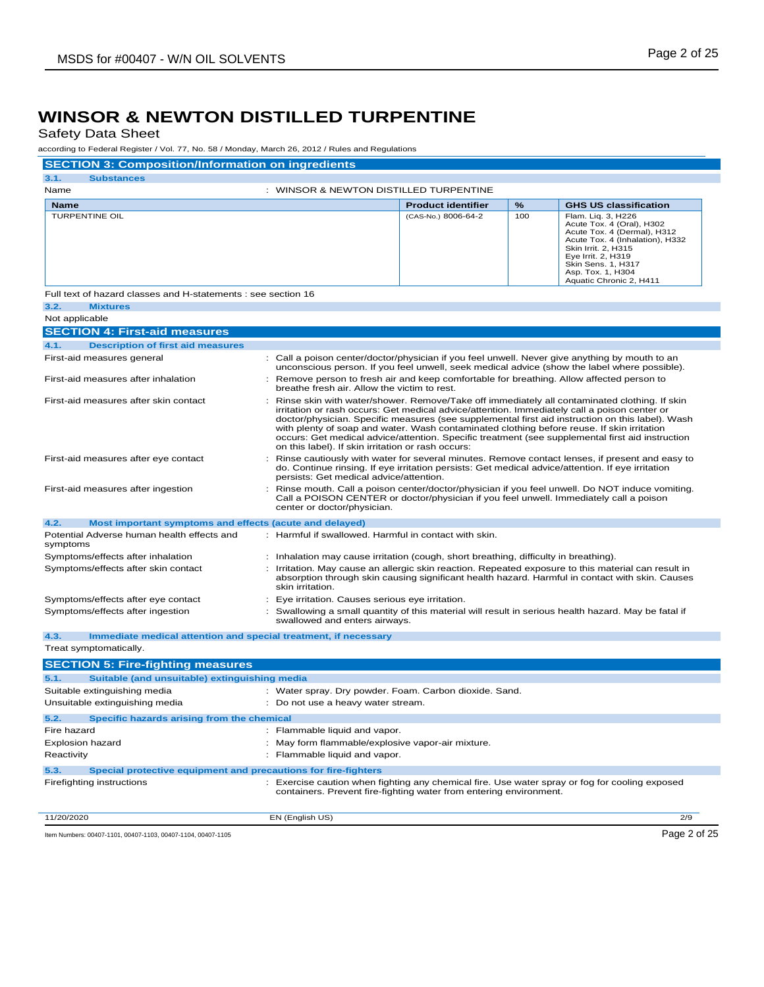Safety Data Sheet

according to Federal Register / Vol. 77, No. 58 / Monday, March 26, 2012 / Rules and Regulations

| according to Federal Register / Vol. 77, No. 58 / Monday, March 26, 2012 / Rules and Regulations    |                                                                                                                                                                                                                                                                                                                                                                                                                                                                                                                                                          |                           |          |                                                                                                                                                                                                                                      |
|-----------------------------------------------------------------------------------------------------|----------------------------------------------------------------------------------------------------------------------------------------------------------------------------------------------------------------------------------------------------------------------------------------------------------------------------------------------------------------------------------------------------------------------------------------------------------------------------------------------------------------------------------------------------------|---------------------------|----------|--------------------------------------------------------------------------------------------------------------------------------------------------------------------------------------------------------------------------------------|
| <b>SECTION 3: Composition/Information on ingredients</b>                                            |                                                                                                                                                                                                                                                                                                                                                                                                                                                                                                                                                          |                           |          |                                                                                                                                                                                                                                      |
| 3.1.<br><b>Substances</b><br>Name                                                                   | : WINSOR & NEWTON DISTILLED TURPENTINE                                                                                                                                                                                                                                                                                                                                                                                                                                                                                                                   |                           |          |                                                                                                                                                                                                                                      |
|                                                                                                     |                                                                                                                                                                                                                                                                                                                                                                                                                                                                                                                                                          |                           |          |                                                                                                                                                                                                                                      |
| <b>Name</b><br><b>TURPENTINE OIL</b>                                                                |                                                                                                                                                                                                                                                                                                                                                                                                                                                                                                                                                          | <b>Product identifier</b> | %<br>100 | <b>GHS US classification</b>                                                                                                                                                                                                         |
|                                                                                                     |                                                                                                                                                                                                                                                                                                                                                                                                                                                                                                                                                          | (CAS-No.) 8006-64-2       |          | Flam. Liq. 3, H226<br>Acute Tox. 4 (Oral), H302<br>Acute Tox. 4 (Dermal), H312<br>Acute Tox. 4 (Inhalation), H332<br>Skin Irrit. 2, H315<br>Eye Irrit. 2, H319<br>Skin Sens. 1, H317<br>Asp. Tox. 1, H304<br>Aquatic Chronic 2, H411 |
| Full text of hazard classes and H-statements ; see section 16                                       |                                                                                                                                                                                                                                                                                                                                                                                                                                                                                                                                                          |                           |          |                                                                                                                                                                                                                                      |
| 3.2.<br><b>Mixtures</b>                                                                             |                                                                                                                                                                                                                                                                                                                                                                                                                                                                                                                                                          |                           |          |                                                                                                                                                                                                                                      |
| Not applicable                                                                                      |                                                                                                                                                                                                                                                                                                                                                                                                                                                                                                                                                          |                           |          |                                                                                                                                                                                                                                      |
| <b>SECTION 4: First-aid measures</b>                                                                |                                                                                                                                                                                                                                                                                                                                                                                                                                                                                                                                                          |                           |          |                                                                                                                                                                                                                                      |
| 4.1.<br><b>Description of first aid measures</b>                                                    |                                                                                                                                                                                                                                                                                                                                                                                                                                                                                                                                                          |                           |          |                                                                                                                                                                                                                                      |
| First-aid measures general                                                                          | : Call a poison center/doctor/physician if you feel unwell. Never give anything by mouth to an                                                                                                                                                                                                                                                                                                                                                                                                                                                           |                           |          | unconscious person. If you feel unwell, seek medical advice (show the label where possible).                                                                                                                                         |
| First-aid measures after inhalation                                                                 | : Remove person to fresh air and keep comfortable for breathing. Allow affected person to<br>breathe fresh air. Allow the victim to rest.                                                                                                                                                                                                                                                                                                                                                                                                                |                           |          |                                                                                                                                                                                                                                      |
| First-aid measures after skin contact<br>÷                                                          | Rinse skin with water/shower. Remove/Take off immediately all contaminated clothing. If skin<br>irritation or rash occurs: Get medical advice/attention. Immediately call a poison center or<br>doctor/physician. Specific measures (see supplemental first aid instruction on this label). Wash<br>with plenty of soap and water. Wash contaminated clothing before reuse. If skin irritation<br>occurs: Get medical advice/attention. Specific treatment (see supplemental first aid instruction<br>on this label). If skin irritation or rash occurs: |                           |          |                                                                                                                                                                                                                                      |
| First-aid measures after eye contact                                                                | Rinse cautiously with water for several minutes. Remove contact lenses, if present and easy to<br>do. Continue rinsing. If eye irritation persists: Get medical advice/attention. If eye irritation<br>persists: Get medical advice/attention.                                                                                                                                                                                                                                                                                                           |                           |          |                                                                                                                                                                                                                                      |
| First-aid measures after ingestion                                                                  | : Rinse mouth. Call a poison center/doctor/physician if you feel unwell. Do NOT induce vomiting.<br>Call a POISON CENTER or doctor/physician if you feel unwell. Immediately call a poison<br>center or doctor/physician.                                                                                                                                                                                                                                                                                                                                |                           |          |                                                                                                                                                                                                                                      |
| 4.2.<br>Most important symptoms and effects (acute and delayed)                                     |                                                                                                                                                                                                                                                                                                                                                                                                                                                                                                                                                          |                           |          |                                                                                                                                                                                                                                      |
| Potential Adverse human health effects and<br>symptoms                                              | : Harmful if swallowed. Harmful in contact with skin.                                                                                                                                                                                                                                                                                                                                                                                                                                                                                                    |                           |          |                                                                                                                                                                                                                                      |
| Symptoms/effects after inhalation                                                                   | : Inhalation may cause irritation (cough, short breathing, difficulty in breathing).                                                                                                                                                                                                                                                                                                                                                                                                                                                                     |                           |          |                                                                                                                                                                                                                                      |
| Symptoms/effects after skin contact                                                                 | : Irritation. May cause an allergic skin reaction. Repeated exposure to this material can result in<br>absorption through skin causing significant health hazard. Harmful in contact with skin. Causes<br>skin irritation.                                                                                                                                                                                                                                                                                                                               |                           |          |                                                                                                                                                                                                                                      |
| Symptoms/effects after eye contact                                                                  | : Eye irritation. Causes serious eye irritation.                                                                                                                                                                                                                                                                                                                                                                                                                                                                                                         |                           |          |                                                                                                                                                                                                                                      |
| Symptoms/effects after ingestion                                                                    | : Swallowing a small quantity of this material will result in serious health hazard. May be fatal if<br>swallowed and enters airways.                                                                                                                                                                                                                                                                                                                                                                                                                    |                           |          |                                                                                                                                                                                                                                      |
| 4.3.<br>Immediate medical attention and special treatment, if necessary                             |                                                                                                                                                                                                                                                                                                                                                                                                                                                                                                                                                          |                           |          |                                                                                                                                                                                                                                      |
| Treat symptomatically.                                                                              |                                                                                                                                                                                                                                                                                                                                                                                                                                                                                                                                                          |                           |          |                                                                                                                                                                                                                                      |
| <b>SECTION 5: Fire-fighting measures</b>                                                            |                                                                                                                                                                                                                                                                                                                                                                                                                                                                                                                                                          |                           |          |                                                                                                                                                                                                                                      |
| 5.1.<br>Suitable (and unsuitable) extinguishing media                                               |                                                                                                                                                                                                                                                                                                                                                                                                                                                                                                                                                          |                           |          |                                                                                                                                                                                                                                      |
| Suitable extinguishing media                                                                        | : Water spray. Dry powder. Foam. Carbon dioxide. Sand.                                                                                                                                                                                                                                                                                                                                                                                                                                                                                                   |                           |          |                                                                                                                                                                                                                                      |
| Unsuitable extinguishing media                                                                      | Do not use a heavy water stream.                                                                                                                                                                                                                                                                                                                                                                                                                                                                                                                         |                           |          |                                                                                                                                                                                                                                      |
| Specific hazards arising from the chemical                                                          |                                                                                                                                                                                                                                                                                                                                                                                                                                                                                                                                                          |                           |          |                                                                                                                                                                                                                                      |
| 5.2.<br>Fire hazard                                                                                 | : Flammable liquid and vapor.                                                                                                                                                                                                                                                                                                                                                                                                                                                                                                                            |                           |          |                                                                                                                                                                                                                                      |
| <b>Explosion hazard</b>                                                                             | : May form flammable/explosive vapor-air mixture.                                                                                                                                                                                                                                                                                                                                                                                                                                                                                                        |                           |          |                                                                                                                                                                                                                                      |
| Reactivity                                                                                          | : Flammable liquid and vapor.                                                                                                                                                                                                                                                                                                                                                                                                                                                                                                                            |                           |          |                                                                                                                                                                                                                                      |
|                                                                                                     |                                                                                                                                                                                                                                                                                                                                                                                                                                                                                                                                                          |                           |          |                                                                                                                                                                                                                                      |
| 5.3.<br>Special protective equipment and precautions for fire-fighters<br>Firefighting instructions | containers. Prevent fire-fighting water from entering environment.                                                                                                                                                                                                                                                                                                                                                                                                                                                                                       |                           |          | : Exercise caution when fighting any chemical fire. Use water spray or fog for cooling exposed                                                                                                                                       |
| 11/20/2020                                                                                          | EN (English US)                                                                                                                                                                                                                                                                                                                                                                                                                                                                                                                                          |                           |          | 2/9                                                                                                                                                                                                                                  |
| Item Numbers: 00407-1101, 00407-1103, 00407-1104, 00407-1105                                        |                                                                                                                                                                                                                                                                                                                                                                                                                                                                                                                                                          |                           |          | Page 2 of 25                                                                                                                                                                                                                         |
|                                                                                                     |                                                                                                                                                                                                                                                                                                                                                                                                                                                                                                                                                          |                           |          |                                                                                                                                                                                                                                      |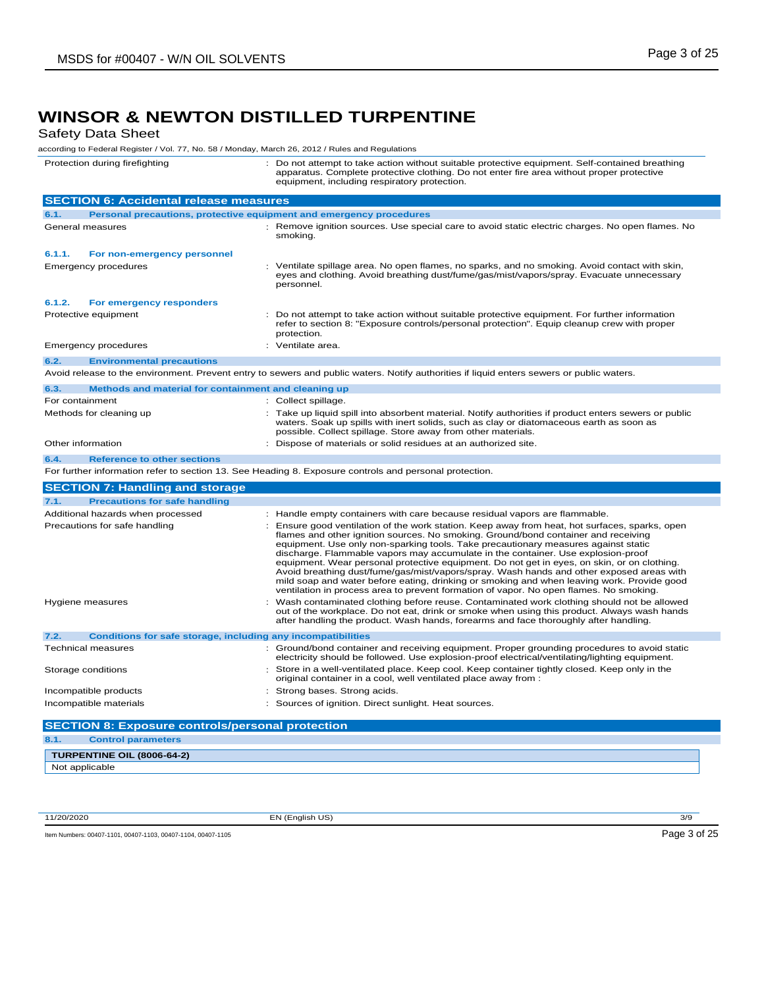# **WINSOR & NEWTON DISTILLED TURPENTINE**<br>Safety Data Sheet

| <b>Safety Data Sheet</b>                                                                         |                                                                                                                                                                                                                                                                                                                                                                                                                                                                                                                                                                                                                                                                                                                                                   |
|--------------------------------------------------------------------------------------------------|---------------------------------------------------------------------------------------------------------------------------------------------------------------------------------------------------------------------------------------------------------------------------------------------------------------------------------------------------------------------------------------------------------------------------------------------------------------------------------------------------------------------------------------------------------------------------------------------------------------------------------------------------------------------------------------------------------------------------------------------------|
| according to Federal Register / Vol. 77, No. 58 / Monday, March 26, 2012 / Rules and Regulations |                                                                                                                                                                                                                                                                                                                                                                                                                                                                                                                                                                                                                                                                                                                                                   |
| Protection during firefighting                                                                   | : Do not attempt to take action without suitable protective equipment. Self-contained breathing<br>apparatus. Complete protective clothing. Do not enter fire area without proper protective<br>equipment, including respiratory protection.                                                                                                                                                                                                                                                                                                                                                                                                                                                                                                      |
| <b>SECTION 6: Accidental release measures</b>                                                    |                                                                                                                                                                                                                                                                                                                                                                                                                                                                                                                                                                                                                                                                                                                                                   |
| 6.1.                                                                                             | Personal precautions, protective equipment and emergency procedures                                                                                                                                                                                                                                                                                                                                                                                                                                                                                                                                                                                                                                                                               |
| General measures                                                                                 | : Remove ignition sources. Use special care to avoid static electric charges. No open flames. No<br>smoking.                                                                                                                                                                                                                                                                                                                                                                                                                                                                                                                                                                                                                                      |
| 6.1.1.<br>For non-emergency personnel                                                            |                                                                                                                                                                                                                                                                                                                                                                                                                                                                                                                                                                                                                                                                                                                                                   |
| <b>Emergency procedures</b>                                                                      | : Ventilate spillage area. No open flames, no sparks, and no smoking. Avoid contact with skin,<br>eyes and clothing. Avoid breathing dust/fume/gas/mist/vapors/spray. Evacuate unnecessary<br>personnel.                                                                                                                                                                                                                                                                                                                                                                                                                                                                                                                                          |
| 6.1.2.<br>For emergency responders                                                               |                                                                                                                                                                                                                                                                                                                                                                                                                                                                                                                                                                                                                                                                                                                                                   |
| Protective equipment                                                                             | : Do not attempt to take action without suitable protective equipment. For further information<br>refer to section 8: "Exposure controls/personal protection". Equip cleanup crew with proper<br>protection.                                                                                                                                                                                                                                                                                                                                                                                                                                                                                                                                      |
| <b>Emergency procedures</b>                                                                      | : Ventilate area.                                                                                                                                                                                                                                                                                                                                                                                                                                                                                                                                                                                                                                                                                                                                 |
| 6.2.<br><b>Environmental precautions</b>                                                         |                                                                                                                                                                                                                                                                                                                                                                                                                                                                                                                                                                                                                                                                                                                                                   |
|                                                                                                  | Avoid release to the environment. Prevent entry to sewers and public waters. Notify authorities if liquid enters sewers or public waters.                                                                                                                                                                                                                                                                                                                                                                                                                                                                                                                                                                                                         |
| 6.3.<br>Methods and material for containment and cleaning up                                     |                                                                                                                                                                                                                                                                                                                                                                                                                                                                                                                                                                                                                                                                                                                                                   |
| For containment                                                                                  | : Collect spillage.                                                                                                                                                                                                                                                                                                                                                                                                                                                                                                                                                                                                                                                                                                                               |
| Methods for cleaning up                                                                          | Take up liquid spill into absorbent material. Notify authorities if product enters sewers or public<br>waters. Soak up spills with inert solids, such as clay or diatomaceous earth as soon as<br>possible. Collect spillage. Store away from other materials.                                                                                                                                                                                                                                                                                                                                                                                                                                                                                    |
| Other information                                                                                | : Dispose of materials or solid residues at an authorized site.                                                                                                                                                                                                                                                                                                                                                                                                                                                                                                                                                                                                                                                                                   |
| 6.4.<br><b>Reference to other sections</b>                                                       |                                                                                                                                                                                                                                                                                                                                                                                                                                                                                                                                                                                                                                                                                                                                                   |
|                                                                                                  | For further information refer to section 13. See Heading 8. Exposure controls and personal protection.                                                                                                                                                                                                                                                                                                                                                                                                                                                                                                                                                                                                                                            |
| <b>SECTION 7: Handling and storage</b>                                                           |                                                                                                                                                                                                                                                                                                                                                                                                                                                                                                                                                                                                                                                                                                                                                   |
| 7.1.<br><b>Precautions for safe handling</b>                                                     |                                                                                                                                                                                                                                                                                                                                                                                                                                                                                                                                                                                                                                                                                                                                                   |
| Additional hazards when processed                                                                | : Handle empty containers with care because residual vapors are flammable.                                                                                                                                                                                                                                                                                                                                                                                                                                                                                                                                                                                                                                                                        |
| Precautions for safe handling                                                                    | : Ensure good ventilation of the work station. Keep away from heat, hot surfaces, sparks, open<br>flames and other ignition sources. No smoking. Ground/bond container and receiving<br>equipment. Use only non-sparking tools. Take precautionary measures against static<br>discharge. Flammable vapors may accumulate in the container. Use explosion-proof<br>equipment. Wear personal protective equipment. Do not get in eyes, on skin, or on clothing.<br>Avoid breathing dust/fume/gas/mist/vapors/spray. Wash hands and other exposed areas with<br>mild soap and water before eating, drinking or smoking and when leaving work. Provide good<br>ventilation in process area to prevent formation of vapor. No open flames. No smoking. |
| Hygiene measures                                                                                 | : Wash contaminated clothing before reuse. Contaminated work clothing should not be allowed<br>out of the workplace. Do not eat, drink or smoke when using this product. Always wash hands<br>after handling the product. Wash hands, forearms and face thoroughly after handling.                                                                                                                                                                                                                                                                                                                                                                                                                                                                |
| <b>Conditions for safe storage, including any incompatibilities</b><br>7.2.                      |                                                                                                                                                                                                                                                                                                                                                                                                                                                                                                                                                                                                                                                                                                                                                   |
| <b>Technical measures</b>                                                                        | : Ground/bond container and receiving equipment. Proper grounding procedures to avoid static<br>electricity should be followed. Use explosion-proof electrical/ventilating/lighting equipment.                                                                                                                                                                                                                                                                                                                                                                                                                                                                                                                                                    |
| Storage conditions                                                                               | : Store in a well-ventilated place. Keep cool. Keep container tightly closed. Keep only in the<br>original container in a cool, well ventilated place away from :                                                                                                                                                                                                                                                                                                                                                                                                                                                                                                                                                                                 |
| Incompatible products                                                                            | Strong bases. Strong acids.                                                                                                                                                                                                                                                                                                                                                                                                                                                                                                                                                                                                                                                                                                                       |
| Incompatible materials                                                                           | : Sources of ignition. Direct sunlight. Heat sources.                                                                                                                                                                                                                                                                                                                                                                                                                                                                                                                                                                                                                                                                                             |
| <b>SECTION 8: Exposure controls/personal protection</b>                                          |                                                                                                                                                                                                                                                                                                                                                                                                                                                                                                                                                                                                                                                                                                                                                   |
| 8.1.<br><b>Control parameters</b>                                                                |                                                                                                                                                                                                                                                                                                                                                                                                                                                                                                                                                                                                                                                                                                                                                   |
|                                                                                                  |                                                                                                                                                                                                                                                                                                                                                                                                                                                                                                                                                                                                                                                                                                                                                   |
| <b>TURPENTINE OIL (8006-64-2)</b><br>Not applicable                                              |                                                                                                                                                                                                                                                                                                                                                                                                                                                                                                                                                                                                                                                                                                                                                   |
|                                                                                                  |                                                                                                                                                                                                                                                                                                                                                                                                                                                                                                                                                                                                                                                                                                                                                   |

11/20/2020 EN (English US) 3/9

Item Numbers: 00407-1101, 00407-1103, 00407-1104, 00407-1105 Page 3 of 25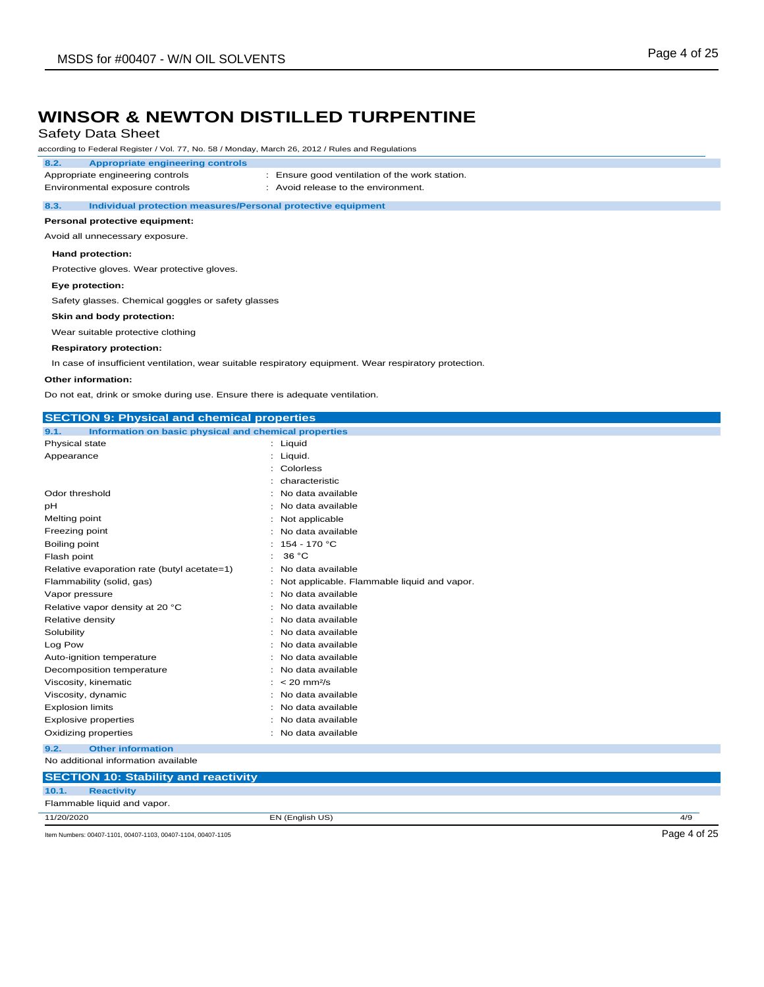### Safety Data Sheet

according to Federal Register / Vol. 77, No. 58 / Monday, March 26, 2012 / Rules and Regulations

### **8.2. Appropriate engineering controls**

Appropriate engineering controls : Ensure good ventilation of the work station. Environmental exposure controls : Avoid release to the environment.

#### **8.3. Individual protection measures/Personal protective equipment**

#### **Personal protective equipment:**

Avoid all unnecessary exposure.

#### **Hand protection:**

Protective gloves. Wear protective gloves.

#### **Eye protection:**

Safety glasses. Chemical goggles or safety glasses

#### **Skin and body protection:**

Wear suitable protective clothing

#### **Respiratory protection:**

In case of insufficient ventilation, wear suitable respiratory equipment. Wear respiratory protection.

#### **Other information:**

Do not eat, drink or smoke during use. Ensure there is adequate ventilation.

| <b>SECTION 9: Physical and chemical properties</b>            |                                             |     |  |
|---------------------------------------------------------------|---------------------------------------------|-----|--|
| Information on basic physical and chemical properties<br>9.1. |                                             |     |  |
| Physical state                                                | : Liquid                                    |     |  |
| Appearance                                                    | : Liquid.                                   |     |  |
|                                                               | Colorless                                   |     |  |
|                                                               | characteristic                              |     |  |
| Odor threshold                                                | No data available                           |     |  |
| рH                                                            | No data available                           |     |  |
| Melting point                                                 | Not applicable                              |     |  |
| Freezing point                                                | No data available                           |     |  |
| Boiling point                                                 | 154 - 170 °C                                |     |  |
| Flash point                                                   | 36 °C                                       |     |  |
| Relative evaporation rate (butyl acetate=1)                   | No data available                           |     |  |
| Flammability (solid, gas)                                     | Not applicable. Flammable liquid and vapor. |     |  |
| Vapor pressure                                                | No data available                           |     |  |
| Relative vapor density at 20 °C                               | No data available                           |     |  |
| Relative density                                              | No data available                           |     |  |
| Solubility                                                    | No data available                           |     |  |
| Log Pow                                                       | No data available                           |     |  |
| Auto-ignition temperature                                     | No data available                           |     |  |
| Decomposition temperature                                     | No data available                           |     |  |
| Viscosity, kinematic                                          | $< 20$ mm <sup>2</sup> /s                   |     |  |
| Viscosity, dynamic                                            | No data available                           |     |  |
| <b>Explosion limits</b>                                       | No data available                           |     |  |
| <b>Explosive properties</b>                                   | : No data available                         |     |  |
| Oxidizing properties                                          | : No data available                         |     |  |
| <b>Other information</b><br>9.2.                              |                                             |     |  |
| No additional information available                           |                                             |     |  |
| <b>SECTION 10: Stability and reactivity</b>                   |                                             |     |  |
| <b>Reactivity</b><br>10.1.                                    |                                             |     |  |
| Flammable liquid and vapor.                                   |                                             |     |  |
| 11/20/2020                                                    | EN (English US)                             | 4/9 |  |

Item Numbers: 00407-1101, 00407-1103, 00407-1104, 00407-1105 Page 4 of 25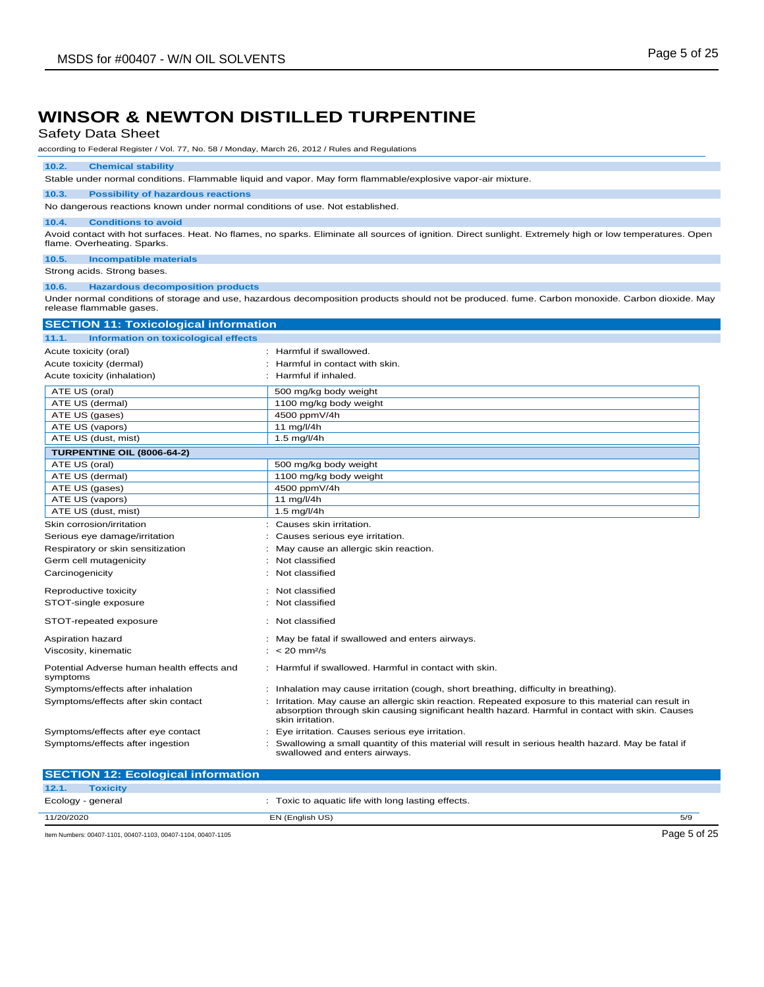### Safety Data Sheet

according to Federal Register / Vol. 77, No. 58 / Monday, March 26, 2012 / Rules and Regulations

#### **10.2. Chemical stability**

Stable under normal conditions. Flammable liquid and vapor. May form flammable/explosive vapor-air mixture.

### **10.3. Possibility of hazardous reactions**

No dangerous reactions known under normal conditions of use. Not established.

#### **10.4. Conditions to avoid**

Avoid contact with hot surfaces. Heat. No flames, no sparks. Eliminate all sources of ignition. Direct sunlight. Extremely high or low temperatures. Open flame. Overheating. Sparks.

### **10.5. Incompatible materials**

Strong acids. Strong bases.

#### **10.6. Hazardous decomposition products**

Under normal conditions of storage and use, hazardous decomposition products should not be produced. fume. Carbon monoxide. Carbon dioxide. May release flammable gases.

| <b>TCICQUE HOLLITIQUE GASCU.</b>             |  |
|----------------------------------------------|--|
| <b>SECTION 11: Toxicological information</b> |  |

| Information on toxicological effects<br>11.1.          |                                                                                                                                                                                                                            |
|--------------------------------------------------------|----------------------------------------------------------------------------------------------------------------------------------------------------------------------------------------------------------------------------|
| Acute toxicity (oral)                                  | Harmful if swallowed.                                                                                                                                                                                                      |
| Acute toxicity (dermal)                                | Harmful in contact with skin.                                                                                                                                                                                              |
| Acute toxicity (inhalation)                            | Harmful if inhaled.                                                                                                                                                                                                        |
| ATE US (oral)                                          | 500 mg/kg body weight                                                                                                                                                                                                      |
| ATE US (dermal)                                        | 1100 mg/kg body weight                                                                                                                                                                                                     |
| ATE US (gases)                                         | 4500 ppmV/4h                                                                                                                                                                                                               |
| ATE US (vapors)                                        | 11 mg/l/4h                                                                                                                                                                                                                 |
| ATE US (dust, mist)                                    | $1.5 \text{ mg/l/4h}$                                                                                                                                                                                                      |
| <b>TURPENTINE OIL (8006-64-2)</b>                      |                                                                                                                                                                                                                            |
| ATE US (oral)                                          | 500 mg/kg body weight                                                                                                                                                                                                      |
| ATE US (dermal)                                        | 1100 mg/kg body weight                                                                                                                                                                                                     |
| ATE US (gases)                                         | 4500 ppmV/4h                                                                                                                                                                                                               |
| ATE US (vapors)                                        | 11 mg/l/4h                                                                                                                                                                                                                 |
| ATE US (dust, mist)                                    | $1.5$ mg/l/4h                                                                                                                                                                                                              |
| Skin corrosion/irritation                              | Causes skin irritation.                                                                                                                                                                                                    |
| Serious eye damage/irritation                          | Causes serious eye irritation.                                                                                                                                                                                             |
| Respiratory or skin sensitization                      | May cause an allergic skin reaction.                                                                                                                                                                                       |
| Germ cell mutagenicity                                 | Not classified                                                                                                                                                                                                             |
| Carcinogenicity                                        | Not classified                                                                                                                                                                                                             |
| Reproductive toxicity                                  | Not classified                                                                                                                                                                                                             |
| STOT-single exposure                                   | Not classified                                                                                                                                                                                                             |
| STOT-repeated exposure                                 | : Not classified                                                                                                                                                                                                           |
| Aspiration hazard                                      | : May be fatal if swallowed and enters airways.                                                                                                                                                                            |
| Viscosity, kinematic                                   | $: < 20$ mm <sup>2</sup> /s                                                                                                                                                                                                |
| Potential Adverse human health effects and<br>symptoms | : Harmful if swallowed. Harmful in contact with skin.                                                                                                                                                                      |
| Symptoms/effects after inhalation                      | : Inhalation may cause irritation (cough, short breathing, difficulty in breathing).                                                                                                                                       |
| Symptoms/effects after skin contact                    | : Irritation. May cause an allergic skin reaction. Repeated exposure to this material can result in<br>absorption through skin causing significant health hazard. Harmful in contact with skin. Causes<br>skin irritation. |
| Symptoms/effects after eye contact                     | Eye irritation. Causes serious eye irritation.                                                                                                                                                                             |
| Symptoms/effects after ingestion                       | Swallowing a small quantity of this material will result in serious health hazard. May be fatal if<br>swallowed and enters airways.                                                                                        |

| <b>SECTION 12: Ecological information</b>                    |                                                    |              |
|--------------------------------------------------------------|----------------------------------------------------|--------------|
| 12.1.<br><b>Toxicity</b>                                     |                                                    |              |
| Ecology - general                                            | : Toxic to aquatic life with long lasting effects. |              |
| 11/20/2020                                                   | EN (English US)                                    | 5/9          |
| Item Numbers: 00407-1101, 00407-1103, 00407-1104, 00407-1105 |                                                    | Page 5 of 25 |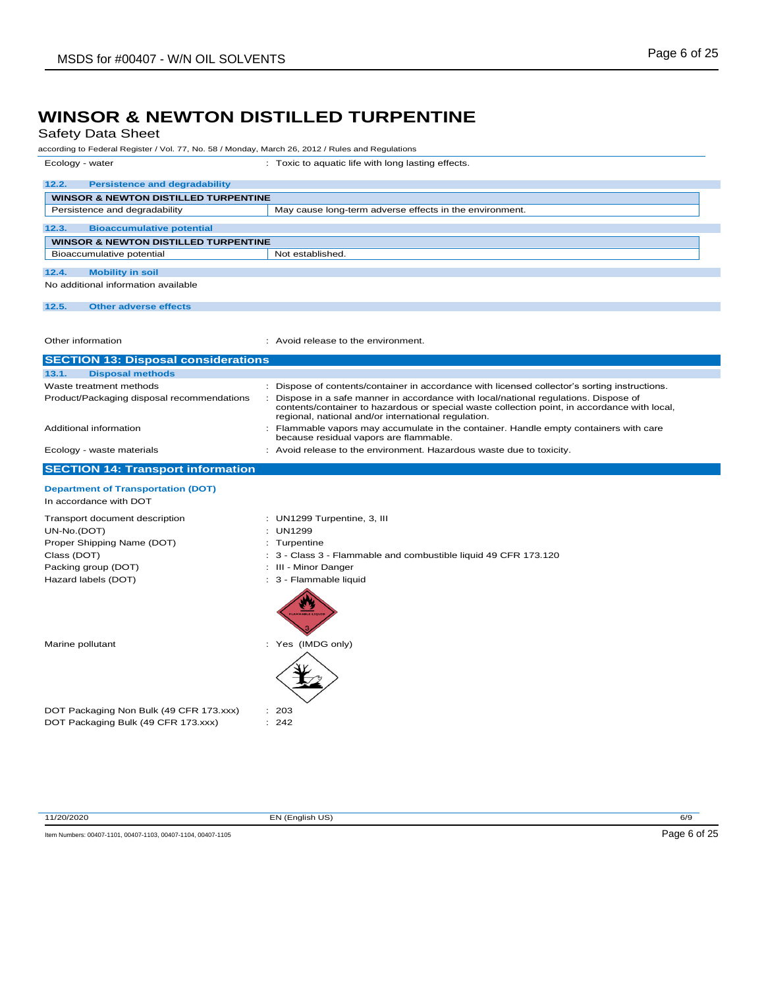## Safety Data Sheet

|                                                 | according to Federal Register / Vol. 77, No. 58 / Monday, March 26, 2012 / Rules and Regulations                                                                                                                                            |
|-------------------------------------------------|---------------------------------------------------------------------------------------------------------------------------------------------------------------------------------------------------------------------------------------------|
| Ecology - water                                 | : Toxic to aquatic life with long lasting effects.                                                                                                                                                                                          |
| 12.2.<br><b>Persistence and degradability</b>   |                                                                                                                                                                                                                                             |
| <b>WINSOR &amp; NEWTON DISTILLED TURPENTINE</b> |                                                                                                                                                                                                                                             |
| Persistence and degradability                   | May cause long-term adverse effects in the environment.                                                                                                                                                                                     |
| 12.3.<br><b>Bioaccumulative potential</b>       |                                                                                                                                                                                                                                             |
| <b>WINSOR &amp; NEWTON DISTILLED TURPENTINE</b> |                                                                                                                                                                                                                                             |
| Bioaccumulative potential                       | Not established.                                                                                                                                                                                                                            |
| 12.4.<br><b>Mobility in soil</b>                |                                                                                                                                                                                                                                             |
| No additional information available             |                                                                                                                                                                                                                                             |
| 12.5.<br><b>Other adverse effects</b>           |                                                                                                                                                                                                                                             |
| Other information                               | : Avoid release to the environment.                                                                                                                                                                                                         |
| <b>SECTION 13: Disposal considerations</b>      |                                                                                                                                                                                                                                             |
| 13.1.<br><b>Disposal methods</b>                |                                                                                                                                                                                                                                             |
| Waste treatment methods                         | : Dispose of contents/container in accordance with licensed collector's sorting instructions.                                                                                                                                               |
| Product/Packaging disposal recommendations      | : Dispose in a safe manner in accordance with local/national regulations. Dispose of<br>contents/container to hazardous or special waste collection point, in accordance with local,<br>regional, national and/or international regulation. |
| Additional information                          | : Flammable vapors may accumulate in the container. Handle empty containers with care<br>because residual vapors are flammable.                                                                                                             |
| Ecology - waste materials                       | : Avoid release to the environment. Hazardous waste due to toxicity.                                                                                                                                                                        |
| <b>SECTION 14: Transport information</b>        |                                                                                                                                                                                                                                             |
| <b>Department of Transportation (DOT)</b>       |                                                                                                                                                                                                                                             |
| In accordance with DOT                          |                                                                                                                                                                                                                                             |
| Transport document description                  | : UN1299 Turpentine, 3, III                                                                                                                                                                                                                 |
| UN-No.(DOT)                                     | : UN1299                                                                                                                                                                                                                                    |
| Proper Shipping Name (DOT)                      | : Turpentine                                                                                                                                                                                                                                |
| Class (DOT)                                     | : 3 - Class 3 - Flammable and combustible liquid 49 CFR 173.120                                                                                                                                                                             |
| Packing group (DOT)                             | : III - Minor Danger                                                                                                                                                                                                                        |
| Hazard labels (DOT)                             | : 3 - Flammable liquid                                                                                                                                                                                                                      |
| Marine pollutant                                | : Yes (IMDG only)                                                                                                                                                                                                                           |
| DOT Packaging Non Bulk (49 CFR 173.xxx)         | : 203                                                                                                                                                                                                                                       |

11/20/2020 EN (English US) 6/9

Item Numbers: 00407-1101, 00407-1103, 00407-1104, 00407-1105 Page 6 of 25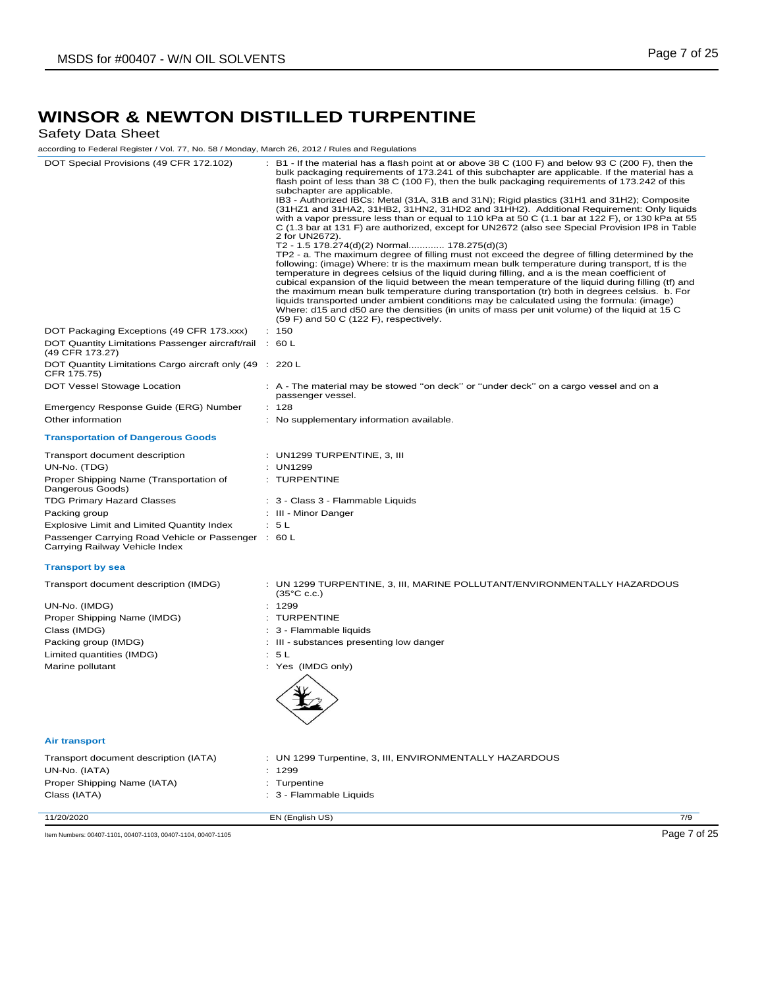## Safety Data Sheet

according to Federal Register / Vol. 77, No. 58 / Monday, March 26, 2012 / Rules and Regulations

| according to Federal Register / Vol. 77, No. 58 / Monday, March 26, 2012 / Rules and Regulations |                                                                                                                                                                                                                                                                                                                                                                                                                                                                                                                                                                                                                                                                                                                                                                                                                                                                                                                                                                                                                                                                                                                                                                                                                                                                                                                                                                                                                                                                                                                                                              |
|--------------------------------------------------------------------------------------------------|--------------------------------------------------------------------------------------------------------------------------------------------------------------------------------------------------------------------------------------------------------------------------------------------------------------------------------------------------------------------------------------------------------------------------------------------------------------------------------------------------------------------------------------------------------------------------------------------------------------------------------------------------------------------------------------------------------------------------------------------------------------------------------------------------------------------------------------------------------------------------------------------------------------------------------------------------------------------------------------------------------------------------------------------------------------------------------------------------------------------------------------------------------------------------------------------------------------------------------------------------------------------------------------------------------------------------------------------------------------------------------------------------------------------------------------------------------------------------------------------------------------------------------------------------------------|
| DOT Special Provisions (49 CFR 172.102)                                                          | : B1 - If the material has a flash point at or above 38 C (100 F) and below 93 C (200 F), then the<br>bulk packaging requirements of 173.241 of this subchapter are applicable. If the material has a<br>flash point of less than 38 C (100 F), then the bulk packaging requirements of 173.242 of this<br>subchapter are applicable.<br>IB3 - Authorized IBCs: Metal (31A, 31B and 31N); Rigid plastics (31H1 and 31H2); Composite<br>(31HZ1 and 31HA2, 31HB2, 31HN2, 31HD2 and 31HH2). Additional Requirement: Only liquids<br>with a vapor pressure less than or equal to 110 kPa at 50 C (1.1 bar at 122 F), or 130 kPa at 55<br>C (1.3 bar at 131 F) are authorized, except for UN2672 (also see Special Provision IP8 in Table<br>2 for UN2672).<br>T2 - 1.5 178.274(d)(2) Normal 178.275(d)(3)<br>TP2 - a. The maximum degree of filling must not exceed the degree of filling determined by the<br>following: (image) Where: tr is the maximum mean bulk temperature during transport, tf is the<br>temperature in degrees celsius of the liquid during filling, and a is the mean coefficient of<br>cubical expansion of the liquid between the mean temperature of the liquid during filling (tf) and<br>the maximum mean bulk temperature during transportation (tr) both in degrees celsius. b. For<br>liquids transported under ambient conditions may be calculated using the formula: (image)<br>Where: d15 and d50 are the densities (in units of mass per unit volume) of the liquid at 15 C<br>$(59 F)$ and 50 C $(122 F)$ , respectively. |
| DOT Packaging Exceptions (49 CFR 173.xxx)                                                        | : 150                                                                                                                                                                                                                                                                                                                                                                                                                                                                                                                                                                                                                                                                                                                                                                                                                                                                                                                                                                                                                                                                                                                                                                                                                                                                                                                                                                                                                                                                                                                                                        |
| DOT Quantity Limitations Passenger aircraft/rail : 60 L<br>(49 CFR 173.27)                       |                                                                                                                                                                                                                                                                                                                                                                                                                                                                                                                                                                                                                                                                                                                                                                                                                                                                                                                                                                                                                                                                                                                                                                                                                                                                                                                                                                                                                                                                                                                                                              |
| DOT Quantity Limitations Cargo aircraft only (49 : 220 L<br>CFR 175.75)                          |                                                                                                                                                                                                                                                                                                                                                                                                                                                                                                                                                                                                                                                                                                                                                                                                                                                                                                                                                                                                                                                                                                                                                                                                                                                                                                                                                                                                                                                                                                                                                              |
| DOT Vessel Stowage Location                                                                      | : A - The material may be stowed "on deck" or "under deck" on a cargo vessel and on a<br>passenger vessel.                                                                                                                                                                                                                                                                                                                                                                                                                                                                                                                                                                                                                                                                                                                                                                                                                                                                                                                                                                                                                                                                                                                                                                                                                                                                                                                                                                                                                                                   |
| Emergency Response Guide (ERG) Number                                                            | : 128                                                                                                                                                                                                                                                                                                                                                                                                                                                                                                                                                                                                                                                                                                                                                                                                                                                                                                                                                                                                                                                                                                                                                                                                                                                                                                                                                                                                                                                                                                                                                        |
| Other information                                                                                | : No supplementary information available.                                                                                                                                                                                                                                                                                                                                                                                                                                                                                                                                                                                                                                                                                                                                                                                                                                                                                                                                                                                                                                                                                                                                                                                                                                                                                                                                                                                                                                                                                                                    |
| <b>Transportation of Dangerous Goods</b>                                                         |                                                                                                                                                                                                                                                                                                                                                                                                                                                                                                                                                                                                                                                                                                                                                                                                                                                                                                                                                                                                                                                                                                                                                                                                                                                                                                                                                                                                                                                                                                                                                              |
| Transport document description                                                                   | $:$ UN1299 TURPENTINE, 3, III                                                                                                                                                                                                                                                                                                                                                                                                                                                                                                                                                                                                                                                                                                                                                                                                                                                                                                                                                                                                                                                                                                                                                                                                                                                                                                                                                                                                                                                                                                                                |
| UN-No. (TDG)                                                                                     | : UN1299                                                                                                                                                                                                                                                                                                                                                                                                                                                                                                                                                                                                                                                                                                                                                                                                                                                                                                                                                                                                                                                                                                                                                                                                                                                                                                                                                                                                                                                                                                                                                     |
| Proper Shipping Name (Transportation of<br>Dangerous Goods)                                      | : TURPENTINE                                                                                                                                                                                                                                                                                                                                                                                                                                                                                                                                                                                                                                                                                                                                                                                                                                                                                                                                                                                                                                                                                                                                                                                                                                                                                                                                                                                                                                                                                                                                                 |
| <b>TDG Primary Hazard Classes</b>                                                                | : 3 - Class 3 - Flammable Liquids                                                                                                                                                                                                                                                                                                                                                                                                                                                                                                                                                                                                                                                                                                                                                                                                                                                                                                                                                                                                                                                                                                                                                                                                                                                                                                                                                                                                                                                                                                                            |
| Packing group                                                                                    | : III - Minor Danger                                                                                                                                                                                                                                                                                                                                                                                                                                                                                                                                                                                                                                                                                                                                                                                                                                                                                                                                                                                                                                                                                                                                                                                                                                                                                                                                                                                                                                                                                                                                         |
| Explosive Limit and Limited Quantity Index                                                       | : 5L                                                                                                                                                                                                                                                                                                                                                                                                                                                                                                                                                                                                                                                                                                                                                                                                                                                                                                                                                                                                                                                                                                                                                                                                                                                                                                                                                                                                                                                                                                                                                         |
| Passenger Carrying Road Vehicle or Passenger : 60 L                                              |                                                                                                                                                                                                                                                                                                                                                                                                                                                                                                                                                                                                                                                                                                                                                                                                                                                                                                                                                                                                                                                                                                                                                                                                                                                                                                                                                                                                                                                                                                                                                              |
| Carrying Railway Vehicle Index                                                                   |                                                                                                                                                                                                                                                                                                                                                                                                                                                                                                                                                                                                                                                                                                                                                                                                                                                                                                                                                                                                                                                                                                                                                                                                                                                                                                                                                                                                                                                                                                                                                              |
| <b>Transport by sea</b>                                                                          |                                                                                                                                                                                                                                                                                                                                                                                                                                                                                                                                                                                                                                                                                                                                                                                                                                                                                                                                                                                                                                                                                                                                                                                                                                                                                                                                                                                                                                                                                                                                                              |
| Transport document description (IMDG)                                                            | : UN 1299 TURPENTINE, 3, III, MARINE POLLUTANT/ENVIRONMENTALLY HAZARDOUS<br>$(35^{\circ}$ C c.c.)                                                                                                                                                                                                                                                                                                                                                                                                                                                                                                                                                                                                                                                                                                                                                                                                                                                                                                                                                                                                                                                                                                                                                                                                                                                                                                                                                                                                                                                            |
| UN-No. (IMDG)                                                                                    | : 1299                                                                                                                                                                                                                                                                                                                                                                                                                                                                                                                                                                                                                                                                                                                                                                                                                                                                                                                                                                                                                                                                                                                                                                                                                                                                                                                                                                                                                                                                                                                                                       |
| Proper Shipping Name (IMDG)                                                                      | : TURPENTINE                                                                                                                                                                                                                                                                                                                                                                                                                                                                                                                                                                                                                                                                                                                                                                                                                                                                                                                                                                                                                                                                                                                                                                                                                                                                                                                                                                                                                                                                                                                                                 |
| Class (IMDG)                                                                                     | : 3 - Flammable liquids                                                                                                                                                                                                                                                                                                                                                                                                                                                                                                                                                                                                                                                                                                                                                                                                                                                                                                                                                                                                                                                                                                                                                                                                                                                                                                                                                                                                                                                                                                                                      |
| Packing group (IMDG)                                                                             | : III - substances presenting low danger                                                                                                                                                                                                                                                                                                                                                                                                                                                                                                                                                                                                                                                                                                                                                                                                                                                                                                                                                                                                                                                                                                                                                                                                                                                                                                                                                                                                                                                                                                                     |
| Limited quantities (IMDG)                                                                        | : 5L                                                                                                                                                                                                                                                                                                                                                                                                                                                                                                                                                                                                                                                                                                                                                                                                                                                                                                                                                                                                                                                                                                                                                                                                                                                                                                                                                                                                                                                                                                                                                         |
| Marine pollutant                                                                                 | : Yes (IMDG only)                                                                                                                                                                                                                                                                                                                                                                                                                                                                                                                                                                                                                                                                                                                                                                                                                                                                                                                                                                                                                                                                                                                                                                                                                                                                                                                                                                                                                                                                                                                                            |
|                                                                                                  |                                                                                                                                                                                                                                                                                                                                                                                                                                                                                                                                                                                                                                                                                                                                                                                                                                                                                                                                                                                                                                                                                                                                                                                                                                                                                                                                                                                                                                                                                                                                                              |
| <b>Air transport</b>                                                                             |                                                                                                                                                                                                                                                                                                                                                                                                                                                                                                                                                                                                                                                                                                                                                                                                                                                                                                                                                                                                                                                                                                                                                                                                                                                                                                                                                                                                                                                                                                                                                              |
| Transport document description (IATA)                                                            | : UN 1299 Turpentine, 3, III, ENVIRONMENTALLY HAZARDOUS                                                                                                                                                                                                                                                                                                                                                                                                                                                                                                                                                                                                                                                                                                                                                                                                                                                                                                                                                                                                                                                                                                                                                                                                                                                                                                                                                                                                                                                                                                      |
| UN-No. (IATA)                                                                                    | : 1299                                                                                                                                                                                                                                                                                                                                                                                                                                                                                                                                                                                                                                                                                                                                                                                                                                                                                                                                                                                                                                                                                                                                                                                                                                                                                                                                                                                                                                                                                                                                                       |
| Proper Shipping Name (IATA)                                                                      | : Turpentine                                                                                                                                                                                                                                                                                                                                                                                                                                                                                                                                                                                                                                                                                                                                                                                                                                                                                                                                                                                                                                                                                                                                                                                                                                                                                                                                                                                                                                                                                                                                                 |
| Class (IATA)                                                                                     | : 3 - Flammable Liquids                                                                                                                                                                                                                                                                                                                                                                                                                                                                                                                                                                                                                                                                                                                                                                                                                                                                                                                                                                                                                                                                                                                                                                                                                                                                                                                                                                                                                                                                                                                                      |
| 11/20/2020                                                                                       | 7/9<br>EN (English US)                                                                                                                                                                                                                                                                                                                                                                                                                                                                                                                                                                                                                                                                                                                                                                                                                                                                                                                                                                                                                                                                                                                                                                                                                                                                                                                                                                                                                                                                                                                                       |
|                                                                                                  |                                                                                                                                                                                                                                                                                                                                                                                                                                                                                                                                                                                                                                                                                                                                                                                                                                                                                                                                                                                                                                                                                                                                                                                                                                                                                                                                                                                                                                                                                                                                                              |

Item Numbers: 00407-1101, 00407-1103, 00407-1104, 00407-1105 Page 7 of 25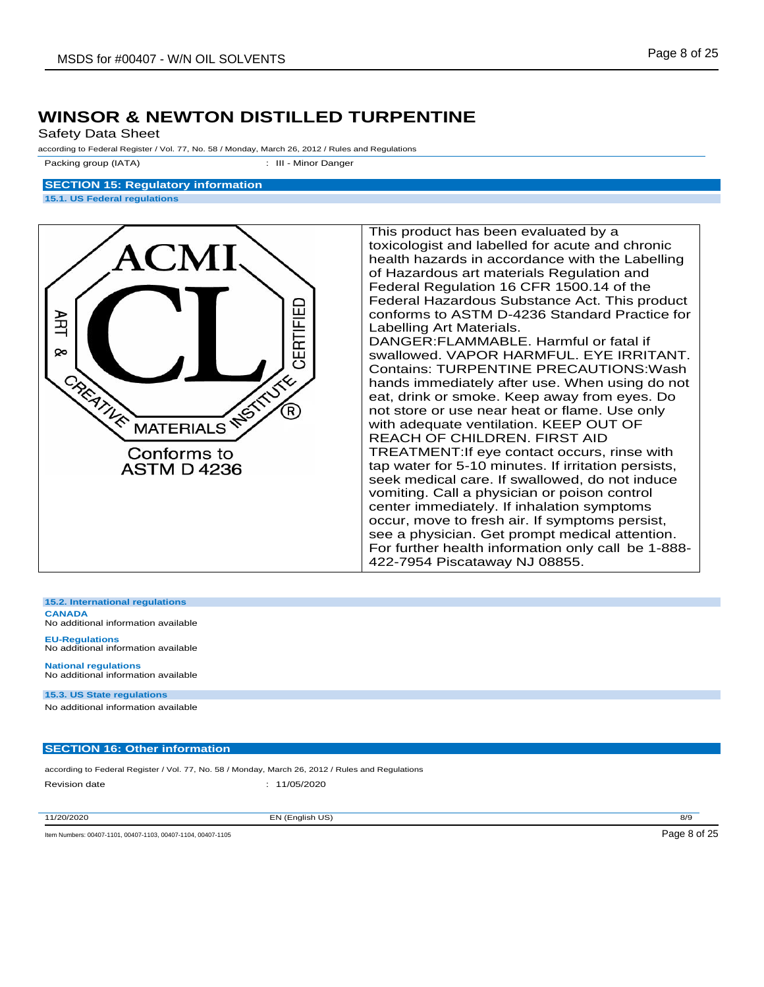Safety Data Sheet

according to Federal Register / Vol. 77, No. 58 / Monday, March 26, 2012 / Rules and Regulations

Packing group (IATA)  $\qquad \qquad$ : III - Minor Danger

### **SECTION 15: Regulatory information 15.1. US Federal regulations**



This product has been evaluated by a toxicologist and labelled for acute and chronic health hazards in accordance with the Labelling of Hazardous art materials Regulation and Federal Regulation 16 CFR 1500.14 of the Federal Hazardous Substance Act. This product conforms to ASTM D-4236 Standard Practice for Labelling Art Materials. DANGER:FLAMMABLE. Harmful or fatal if swallowed. VAPOR HARMFUL. EYE IRRITANT. Contains: TURPENTINE PRECAUTIONS:Wash hands immediately after use. When using do not eat, drink or smoke. Keep away from eyes. Do not store or use near heat or flame. Use only with adequate ventilation. KEEP OUT OF REACH OF CHILDREN. FIRST AID TREATMENT:If eye contact occurs, rinse with tap water for 5-10 minutes. If irritation persists, seek medical care. If swallowed, do not induce vomiting. Call a physician or poison control center immediately. If inhalation symptoms occur, move to fresh air. If symptoms persist, see a physician. Get prompt medical attention. For further health information only call be 1-888- 422-7954 Piscataway NJ 08855.

**15.2. International regulations**

**CANADA** No additional information available

**EU-Regulations** No additional information available

**National regulations** No additional information available

**15.3. US State regulations** No additional information available

## **SECTION 16: Other information**

according to Federal Register / Vol. 77, No. 58 / Monday, March 26, 2012 / Rules and Regulations Revision date : 11/05/2020

11/20/2020 EN (English US) 8/9

Item Numbers: 00407-1101, 00407-1103, 00407-1104, 00407-1105 Page 8 of 25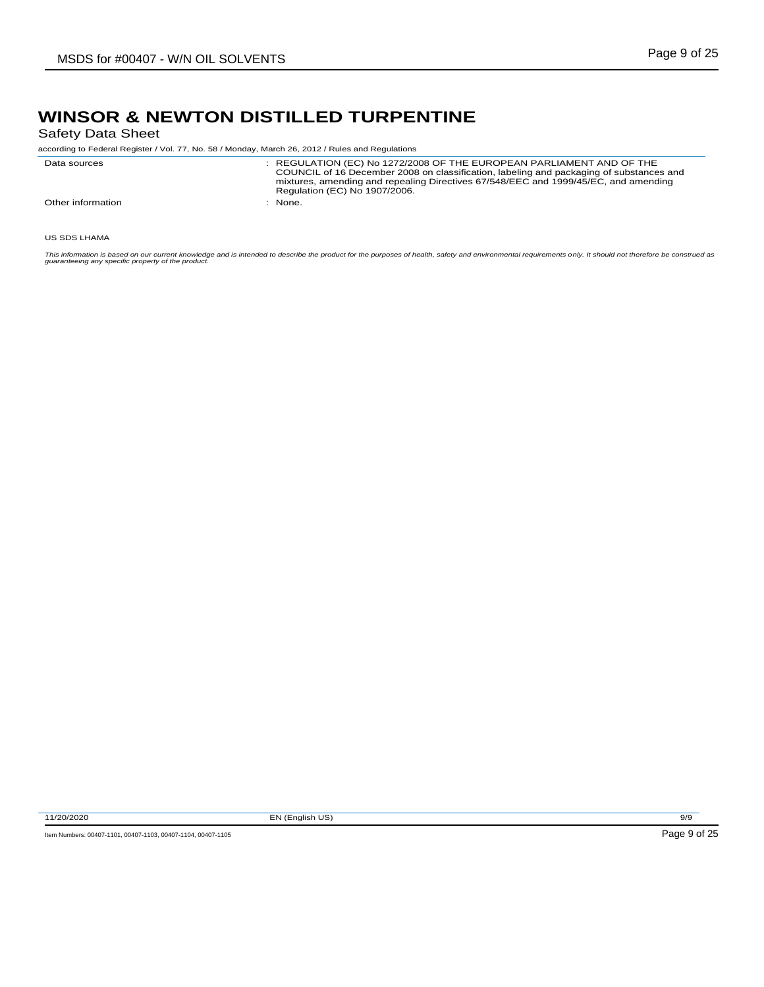Safety Data Sheet

according to Federal Register / Vol. 77, No. 58 / Monday, March 26, 2012 / Rules and Regulations

| Data sources      | : REGULATION (EC) No 1272/2008 OF THE EUROPEAN PARLIAMENT AND OF THE<br>COUNCIL of 16 December 2008 on classification, labeling and packaging of substances and<br>mixtures, amending and repealing Directives 67/548/EEC and 1999/45/EC, and amending<br>Regulation (EC) No 1907/2006. |
|-------------------|-----------------------------------------------------------------------------------------------------------------------------------------------------------------------------------------------------------------------------------------------------------------------------------------|
| Other information | None.                                                                                                                                                                                                                                                                                   |

US SDS LHAMA

This information is based on our current knowledge and is intended to describe the product for the purposes of health, safety and environmental requirements only. It should not therefore be construed as<br>guaranteeing any sp

11/20/2020 EN (English US) 9/9

Item Numbers: 00407-1101, 00407-1103, 00407-1104, 00407-1105 Page 9 of 25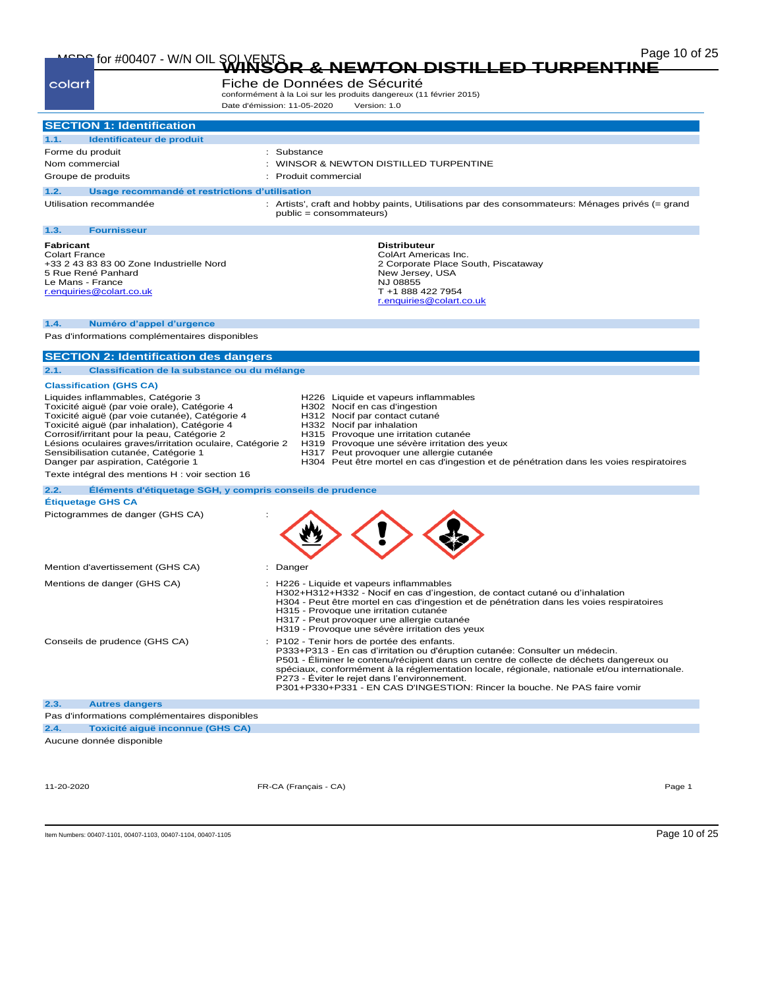# Page 10 of 25 MSDS for #00407 - W/N OIL SOLVENTS **WINSOR & NEWTON DISTILLED TURPENTINE**

| Fiche de Données de Sécurité<br>colart<br>conformément à la Loi sur les produits dangereux (11 février 2015)<br>Date d'émission: 11-05-2020<br>Version: 1.0                                                                                                                                                                                                                                                                       |                                                                                                                                                                                                                                                                                                                                                                                                                                                   |  |  |  |  |
|-----------------------------------------------------------------------------------------------------------------------------------------------------------------------------------------------------------------------------------------------------------------------------------------------------------------------------------------------------------------------------------------------------------------------------------|---------------------------------------------------------------------------------------------------------------------------------------------------------------------------------------------------------------------------------------------------------------------------------------------------------------------------------------------------------------------------------------------------------------------------------------------------|--|--|--|--|
| <b>SECTION 1: Identification</b>                                                                                                                                                                                                                                                                                                                                                                                                  |                                                                                                                                                                                                                                                                                                                                                                                                                                                   |  |  |  |  |
| 1.1.<br>Identificateur de produit                                                                                                                                                                                                                                                                                                                                                                                                 |                                                                                                                                                                                                                                                                                                                                                                                                                                                   |  |  |  |  |
| Forme du produit                                                                                                                                                                                                                                                                                                                                                                                                                  | : Substance                                                                                                                                                                                                                                                                                                                                                                                                                                       |  |  |  |  |
| Nom commercial                                                                                                                                                                                                                                                                                                                                                                                                                    | WINSOR & NEWTON DISTILLED TURPENTINE                                                                                                                                                                                                                                                                                                                                                                                                              |  |  |  |  |
| Groupe de produits                                                                                                                                                                                                                                                                                                                                                                                                                | : Produit commercial                                                                                                                                                                                                                                                                                                                                                                                                                              |  |  |  |  |
| 1.2.<br>Usage recommandé et restrictions d'utilisation                                                                                                                                                                                                                                                                                                                                                                            |                                                                                                                                                                                                                                                                                                                                                                                                                                                   |  |  |  |  |
| Utilisation recommandée                                                                                                                                                                                                                                                                                                                                                                                                           | : Artists', craft and hobby paints, Utilisations par des consommateurs: Ménages privés (= grand<br>public = consommateurs)                                                                                                                                                                                                                                                                                                                        |  |  |  |  |
| 1.3.<br><b>Fournisseur</b>                                                                                                                                                                                                                                                                                                                                                                                                        |                                                                                                                                                                                                                                                                                                                                                                                                                                                   |  |  |  |  |
| <b>Fabricant</b><br><b>Colart France</b><br>+33 2 43 83 83 00 Zone Industrielle Nord<br>5 Rue René Panhard<br>Le Mans - France<br>r.enquiries@colart.co.uk                                                                                                                                                                                                                                                                        | <b>Distributeur</b><br>ColArt Americas Inc.<br>2 Corporate Place South, Piscataway<br>New Jersey, USA<br>NJ 08855<br>T +1 888 422 7954<br>r.enquiries@colart.co.uk                                                                                                                                                                                                                                                                                |  |  |  |  |
|                                                                                                                                                                                                                                                                                                                                                                                                                                   |                                                                                                                                                                                                                                                                                                                                                                                                                                                   |  |  |  |  |
| 1.4.<br>Numéro d'appel d'urgence<br>Pas d'informations complémentaires disponibles                                                                                                                                                                                                                                                                                                                                                |                                                                                                                                                                                                                                                                                                                                                                                                                                                   |  |  |  |  |
| <b>SECTION 2: Identification des dangers</b>                                                                                                                                                                                                                                                                                                                                                                                      |                                                                                                                                                                                                                                                                                                                                                                                                                                                   |  |  |  |  |
| 2.1.<br>Classification de la substance ou du mélange                                                                                                                                                                                                                                                                                                                                                                              |                                                                                                                                                                                                                                                                                                                                                                                                                                                   |  |  |  |  |
| <b>Classification (GHS CA)</b>                                                                                                                                                                                                                                                                                                                                                                                                    |                                                                                                                                                                                                                                                                                                                                                                                                                                                   |  |  |  |  |
| Liquides inflammables, Catégorie 3<br>Toxicité aiguë (par voie orale), Catégorie 4<br>Toxicité aiquë (par voie cutanée), Catégorie 4<br>Toxicité aiquë (par inhalation), Catégorie 4<br>Corrosif/irritant pour la peau, Catégorie 2<br>Lésions oculaires graves/irritation oculaire, Catégorie 2<br>Sensibilisation cutanée, Catégorie 1<br>Danger par aspiration, Catégorie 1<br>Texte intégral des mentions H : voir section 16 | H226 Liquide et vapeurs inflammables<br>H302 Nocif en cas d'ingestion<br>H312 Nocif par contact cutané<br>H332 Nocif par inhalation<br>H315 Provoque une irritation cutanée<br>H319 Provoque une sévère irritation des yeux<br>H317 Peut provoquer une allergie cutanée<br>H304 Peut être mortel en cas d'ingestion et de pénétration dans les voies respiratoires                                                                                |  |  |  |  |
| 2.2.                                                                                                                                                                                                                                                                                                                                                                                                                              | Éléments d'étiquetage SGH, y compris conseils de prudence                                                                                                                                                                                                                                                                                                                                                                                         |  |  |  |  |
| <b>Étiquetage GHS CA</b>                                                                                                                                                                                                                                                                                                                                                                                                          |                                                                                                                                                                                                                                                                                                                                                                                                                                                   |  |  |  |  |
| Pictogrammes de danger (GHS CA)                                                                                                                                                                                                                                                                                                                                                                                                   |                                                                                                                                                                                                                                                                                                                                                                                                                                                   |  |  |  |  |
| Mention d'avertissement (GHS CA)                                                                                                                                                                                                                                                                                                                                                                                                  | Danger                                                                                                                                                                                                                                                                                                                                                                                                                                            |  |  |  |  |
| Mentions de danger (GHS CA)                                                                                                                                                                                                                                                                                                                                                                                                       | : H226 - Liquide et vapeurs inflammables<br>H302+H312+H332 - Nocif en cas d'ingestion, de contact cutané ou d'inhalation<br>H304 - Peut être mortel en cas d'ingestion et de pénétration dans les voies respiratoires<br>H315 - Provoque une irritation cutanée<br>H317 - Peut provoquer une allergie cutanée<br>H319 - Provoque une sévère irritation des yeux                                                                                   |  |  |  |  |
| Conseils de prudence (GHS CA)                                                                                                                                                                                                                                                                                                                                                                                                     | P102 - Tenir hors de portée des enfants.<br>P333+P313 - En cas d'irritation ou d'éruption cutanée: Consulter un médecin.<br>P501 - Eliminer le contenu/récipient dans un centre de collecte de déchets dangereux ou<br>spéciaux, conformément à la réglementation locale, régionale, nationale et/ou internationale.<br>P273 - Éviter le rejet dans l'environnement.<br>P301+P330+P331 - EN CAS D'INGESTION: Rincer la bouche. Ne PAS faire vomir |  |  |  |  |
| 2.3.<br><b>Autres dangers</b>                                                                                                                                                                                                                                                                                                                                                                                                     |                                                                                                                                                                                                                                                                                                                                                                                                                                                   |  |  |  |  |
| Pas d'informations complémentaires disponibles                                                                                                                                                                                                                                                                                                                                                                                    |                                                                                                                                                                                                                                                                                                                                                                                                                                                   |  |  |  |  |
| 2.4.<br>Toxicité aiguë inconnue (GHS CA)                                                                                                                                                                                                                                                                                                                                                                                          |                                                                                                                                                                                                                                                                                                                                                                                                                                                   |  |  |  |  |
| Aucune donnée disponible                                                                                                                                                                                                                                                                                                                                                                                                          |                                                                                                                                                                                                                                                                                                                                                                                                                                                   |  |  |  |  |
| 11-20-2020                                                                                                                                                                                                                                                                                                                                                                                                                        | FR-CA (Français - CA)<br>Page 1                                                                                                                                                                                                                                                                                                                                                                                                                   |  |  |  |  |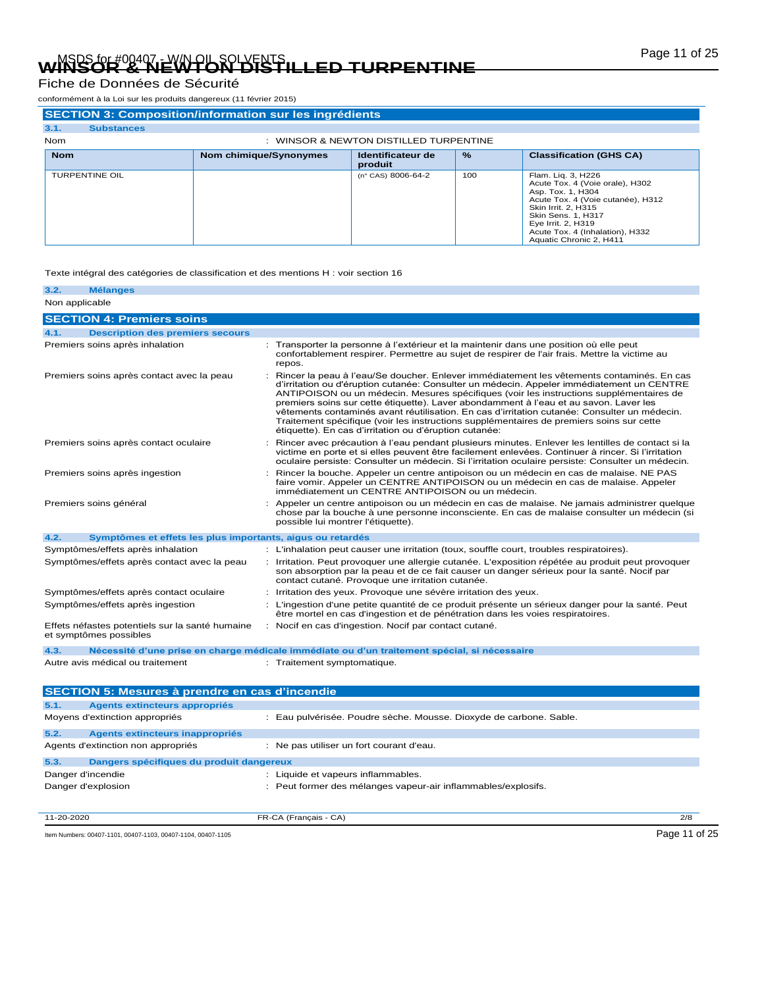# Page 11 of 25 MSDS for #00407 - W/N OIL SOLVENTS **WINSOR & NEWTON DISTILLED TURPENTINE**

Fiche de Données de Sécurité

conformément à la Loi sur les produits dangereux (11 février 2015)

| <b>SECTION 3: Composition/information sur les ingrédients</b> |                        |                                        |               |                                                                                                                                                                                                                                                         |  |  |  |
|---------------------------------------------------------------|------------------------|----------------------------------------|---------------|---------------------------------------------------------------------------------------------------------------------------------------------------------------------------------------------------------------------------------------------------------|--|--|--|
| 3.1.<br><b>Substances</b>                                     |                        |                                        |               |                                                                                                                                                                                                                                                         |  |  |  |
| <b>Nom</b>                                                    |                        | : WINSOR & NEWTON DISTILLED TURPENTINE |               |                                                                                                                                                                                                                                                         |  |  |  |
| <b>Nom</b>                                                    | Nom chimique/Synonymes | Identificateur de<br>produit           | $\frac{9}{6}$ | <b>Classification (GHS CA)</b>                                                                                                                                                                                                                          |  |  |  |
| <b>TURPENTINE OIL</b>                                         |                        | (n° CAS) 8006-64-2                     | 100           | Flam. Lig. 3, H226<br>Acute Tox. 4 (Voie orale), H302<br>Asp. Tox. 1, H304<br>Acute Tox. 4 (Voie cutanée), H312<br>Skin Irrit, 2, H315<br><b>Skin Sens. 1. H317</b><br>Eye Irrit. 2, H319<br>Acute Tox. 4 (Inhalation), H332<br>Aquatic Chronic 2, H411 |  |  |  |

#### Texte intégral des catégories de classification et des mentions H : voir section 16

| 3.2.           | <b>Mélanges</b>                                                           |                                                                                                                                                                                                                                                                                                                                                                                                                                                                                                                                                                                                                                  |
|----------------|---------------------------------------------------------------------------|----------------------------------------------------------------------------------------------------------------------------------------------------------------------------------------------------------------------------------------------------------------------------------------------------------------------------------------------------------------------------------------------------------------------------------------------------------------------------------------------------------------------------------------------------------------------------------------------------------------------------------|
| Non applicable |                                                                           |                                                                                                                                                                                                                                                                                                                                                                                                                                                                                                                                                                                                                                  |
|                | <b>SECTION 4: Premiers soins</b>                                          |                                                                                                                                                                                                                                                                                                                                                                                                                                                                                                                                                                                                                                  |
| 4.1.           | <b>Description des premiers secours</b>                                   |                                                                                                                                                                                                                                                                                                                                                                                                                                                                                                                                                                                                                                  |
|                | Premiers soins après inhalation                                           | Transporter la personne à l'extérieur et la maintenir dans une position où elle peut<br>confortablement respirer. Permettre au sujet de respirer de l'air frais. Mettre la victime au<br>repos.                                                                                                                                                                                                                                                                                                                                                                                                                                  |
|                | Premiers soins après contact avec la peau                                 | Rincer la peau à l'eau/Se doucher. Enlever immédiatement les vêtements contaminés. En cas<br>d'irritation ou d'éruption cutanée: Consulter un médecin. Appeler immédiatement un CENTRE<br>ANTIPOISON ou un médecin. Mesures spécifiques (voir les instructions supplémentaires de<br>premiers soins sur cette étiquette). Laver abondamment à l'eau et au savon. Laver les<br>vêtements contaminés avant réutilisation. En cas d'irritation cutanée: Consulter un médecin.<br>Traitement spécifique (voir les instructions supplémentaires de premiers soins sur cette<br>étiquette). En cas d'irritation ou d'éruption cutanée: |
|                | Premiers soins après contact oculaire                                     | Rincer avec précaution à l'eau pendant plusieurs minutes. Enlever les lentilles de contact si la<br>victime en porte et si elles peuvent être facilement enlevées. Continuer à rincer. Si l'irritation<br>oculaire persiste: Consulter un médecin. Si l'irritation oculaire persiste: Consulter un médecin.                                                                                                                                                                                                                                                                                                                      |
|                | Premiers soins après ingestion                                            | Rincer la bouche. Appeler un centre antipoison ou un médecin en cas de malaise. NE PAS<br>faire vomir. Appeler un CENTRE ANTIPOISON ou un médecin en cas de malaise. Appeler<br>immédiatement un CENTRE ANTIPOISON ou un médecin.                                                                                                                                                                                                                                                                                                                                                                                                |
|                | Premiers soins général                                                    | Appeler un centre antipoison ou un médecin en cas de malaise. Ne jamais administrer quelque<br>chose par la bouche à une personne inconsciente. En cas de malaise consulter un médecin (si<br>possible lui montrer l'étiquette).                                                                                                                                                                                                                                                                                                                                                                                                 |
| 4.2.           | Symptômes et effets les plus importants, aigus ou retardés                |                                                                                                                                                                                                                                                                                                                                                                                                                                                                                                                                                                                                                                  |
|                | Symptômes/effets après inhalation                                         | : L'inhalation peut causer une irritation (toux, souffle court, troubles respiratoires).                                                                                                                                                                                                                                                                                                                                                                                                                                                                                                                                         |
|                | Symptômes/effets après contact avec la peau                               | : Irritation. Peut provoquer une allergie cutanée. L'exposition répétée au produit peut provoquer<br>son absorption par la peau et de ce fait causer un danger sérieux pour la santé. Nocif par<br>contact cutané. Provoque une irritation cutanée.                                                                                                                                                                                                                                                                                                                                                                              |
|                | Symptômes/effets après contact oculaire                                   | Irritation des yeux. Provoque une sévère irritation des yeux.                                                                                                                                                                                                                                                                                                                                                                                                                                                                                                                                                                    |
|                | Symptômes/effets après ingestion                                          | L'ingestion d'une petite quantité de ce produit présente un sérieux danger pour la santé. Peut<br>être mortel en cas d'ingestion et de pénétration dans les voies respiratoires.                                                                                                                                                                                                                                                                                                                                                                                                                                                 |
|                | Effets néfastes potentiels sur la santé humaine<br>et symptômes possibles | Nocif en cas d'ingestion. Nocif par contact cutané.                                                                                                                                                                                                                                                                                                                                                                                                                                                                                                                                                                              |
| 4.3.           |                                                                           | Nécessité d'une prise en charge médicale immédiate ou d'un traitement spécial, si nécessaire                                                                                                                                                                                                                                                                                                                                                                                                                                                                                                                                     |
|                | Autre avis médical ou traitement                                          | : Traitement symptomatique.                                                                                                                                                                                                                                                                                                                                                                                                                                                                                                                                                                                                      |
|                | <b>SECTION 5: Mesures à prendre en cas d'incendie</b>                     |                                                                                                                                                                                                                                                                                                                                                                                                                                                                                                                                                                                                                                  |
| 5.1.           | Agents extincteurs appropriés                                             |                                                                                                                                                                                                                                                                                                                                                                                                                                                                                                                                                                                                                                  |
|                | Moyens d'extinction appropriés                                            | Eau pulvérisée. Poudre sèche. Mousse. Dioxyde de carbone. Sable.                                                                                                                                                                                                                                                                                                                                                                                                                                                                                                                                                                 |

| 5.2.              | Agents extincteurs inappropriés          |                                                               |     |
|-------------------|------------------------------------------|---------------------------------------------------------------|-----|
|                   | Agents d'extinction non appropriés       | : Ne pas utiliser un fort courant d'eau.                      |     |
| 5.3.              | Dangers spécifiques du produit dangereux |                                                               |     |
| Danger d'incendie |                                          | : Liquide et vapeurs inflammables.                            |     |
|                   | Danger d'explosion                       | : Peut former des mélanges vapeur-air inflammables/explosifs. |     |
|                   |                                          |                                                               |     |
| 11-20-2020        |                                          | FR-CA (Français - CA)                                         | 2/8 |

Item Numbers: 00407-1101, 00407-1103, 00407-1104, 00407-1105 Page 11 of 25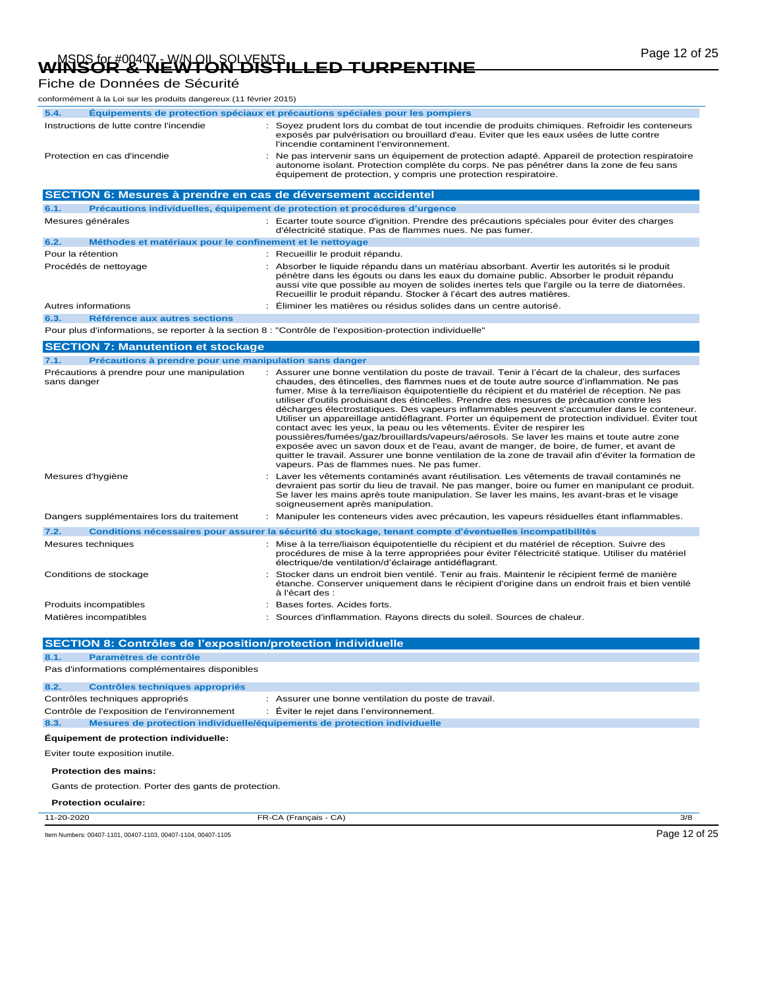# Page 12 of 25 MSDS for #00407 - W/N OIL SOLVENTS **WINSOR & NEWTON DISTILLED TURPENTINE**

# Fiche de Données de Sécurité

| conformément à la Loi sur les produits dangereux (11 février 2015) |                                                                                                                                                                                                                                                                                                                                                                                                                                                                                                                                                                                                                                                                                                                                                                                                                                                                                                                                                                                                                                |
|--------------------------------------------------------------------|--------------------------------------------------------------------------------------------------------------------------------------------------------------------------------------------------------------------------------------------------------------------------------------------------------------------------------------------------------------------------------------------------------------------------------------------------------------------------------------------------------------------------------------------------------------------------------------------------------------------------------------------------------------------------------------------------------------------------------------------------------------------------------------------------------------------------------------------------------------------------------------------------------------------------------------------------------------------------------------------------------------------------------|
| 5.4.                                                               | Équipements de protection spéciaux et précautions spéciales pour les pompiers                                                                                                                                                                                                                                                                                                                                                                                                                                                                                                                                                                                                                                                                                                                                                                                                                                                                                                                                                  |
| Instructions de lutte contre l'incendie                            | : Soyez prudent lors du combat de tout incendie de produits chimiques. Refroidir les conteneurs<br>exposés par pulvérisation ou brouillard d'eau. Eviter que les eaux usées de lutte contre<br>l'incendie contaminent l'environnement.                                                                                                                                                                                                                                                                                                                                                                                                                                                                                                                                                                                                                                                                                                                                                                                         |
| Protection en cas d'incendie                                       | Ne pas intervenir sans un équipement de protection adapté. Appareil de protection respiratoire<br>autonome isolant. Protection complète du corps. Ne pas pénétrer dans la zone de feu sans<br>équipement de protection, y compris une protection respiratoire.                                                                                                                                                                                                                                                                                                                                                                                                                                                                                                                                                                                                                                                                                                                                                                 |
| SECTION 6: Mesures à prendre en cas de déversement accidentel      |                                                                                                                                                                                                                                                                                                                                                                                                                                                                                                                                                                                                                                                                                                                                                                                                                                                                                                                                                                                                                                |
| 6.1.                                                               | Précautions individuelles, équipement de protection et procédures d'urgence                                                                                                                                                                                                                                                                                                                                                                                                                                                                                                                                                                                                                                                                                                                                                                                                                                                                                                                                                    |
| Mesures générales                                                  | : Ecarter toute source d'ignition. Prendre des précautions spéciales pour éviter des charges<br>d'électricité statique. Pas de flammes nues. Ne pas fumer.                                                                                                                                                                                                                                                                                                                                                                                                                                                                                                                                                                                                                                                                                                                                                                                                                                                                     |
| Méthodes et matériaux pour le confinement et le nettoyage<br>6.2.  |                                                                                                                                                                                                                                                                                                                                                                                                                                                                                                                                                                                                                                                                                                                                                                                                                                                                                                                                                                                                                                |
| Pour la rétention                                                  | : Recueillir le produit répandu.                                                                                                                                                                                                                                                                                                                                                                                                                                                                                                                                                                                                                                                                                                                                                                                                                                                                                                                                                                                               |
| Procédés de nettoyage                                              | Absorber le liquide répandu dans un matériau absorbant. Avertir les autorités si le produit<br>pénètre dans les égouts ou dans les eaux du domaine public. Absorber le produit répandu<br>aussi vite que possible au moyen de solides inertes tels que l'argile ou la terre de diatomées.<br>Recueillir le produit répandu. Stocker à l'écart des autres matières.                                                                                                                                                                                                                                                                                                                                                                                                                                                                                                                                                                                                                                                             |
| Autres informations                                                | Éliminer les matières ou résidus solides dans un centre autorisé.                                                                                                                                                                                                                                                                                                                                                                                                                                                                                                                                                                                                                                                                                                                                                                                                                                                                                                                                                              |
| 6.3.<br>Référence aux autres sections                              |                                                                                                                                                                                                                                                                                                                                                                                                                                                                                                                                                                                                                                                                                                                                                                                                                                                                                                                                                                                                                                |
|                                                                    | Pour plus d'informations, se reporter à la section 8 : "Contrôle de l'exposition-protection individuelle"                                                                                                                                                                                                                                                                                                                                                                                                                                                                                                                                                                                                                                                                                                                                                                                                                                                                                                                      |
| <b>SECTION 7: Manutention et stockage</b>                          |                                                                                                                                                                                                                                                                                                                                                                                                                                                                                                                                                                                                                                                                                                                                                                                                                                                                                                                                                                                                                                |
| Précautions à prendre pour une manipulation sans danger<br>7.1.    |                                                                                                                                                                                                                                                                                                                                                                                                                                                                                                                                                                                                                                                                                                                                                                                                                                                                                                                                                                                                                                |
| Précautions à prendre pour une manipulation<br>sans danger         | Assurer une bonne ventilation du poste de travail. Tenir à l'écart de la chaleur, des surfaces<br>chaudes, des étincelles, des flammes nues et de toute autre source d'inflammation. Ne pas<br>fumer. Mise à la terre/liaison équipotentielle du récipient et du matériel de réception. Ne pas<br>utiliser d'outils produisant des étincelles. Prendre des mesures de précaution contre les<br>décharges électrostatiques. Des vapeurs inflammables peuvent s'accumuler dans le conteneur.<br>Utiliser un appareillage antidéflagrant. Porter un équipement de protection individuel. Éviter tout<br>contact avec les yeux, la peau ou les vêtements. Éviter de respirer les<br>poussières/fumées/gaz/brouillards/vapeurs/aérosols. Se laver les mains et toute autre zone<br>exposée avec un savon doux et de l'eau, avant de manger, de boire, de fumer, et avant de<br>quitter le travail. Assurer une bonne ventilation de la zone de travail afin d'éviter la formation de<br>vapeurs. Pas de flammes nues. Ne pas fumer. |
| Mesures d'hygiène                                                  | Laver les vêtements contaminés avant réutilisation. Les vêtements de travail contaminés ne<br>devraient pas sortir du lieu de travail. Ne pas manger, boire ou fumer en manipulant ce produit.<br>Se laver les mains après toute manipulation. Se laver les mains, les avant-bras et le visage<br>soigneusement après manipulation.                                                                                                                                                                                                                                                                                                                                                                                                                                                                                                                                                                                                                                                                                            |
| Dangers supplémentaires lors du traitement                         | Manipuler les conteneurs vides avec précaution, les vapeurs résiduelles étant inflammables.                                                                                                                                                                                                                                                                                                                                                                                                                                                                                                                                                                                                                                                                                                                                                                                                                                                                                                                                    |
| 7.2.                                                               | Conditions nécessaires pour assurer la sécurité du stockage, tenant compte d'éventuelles incompatibilités                                                                                                                                                                                                                                                                                                                                                                                                                                                                                                                                                                                                                                                                                                                                                                                                                                                                                                                      |
| Mesures techniques                                                 | Mise à la terre/liaison équipotentielle du récipient et du matériel de réception. Suivre des<br>procédures de mise à la terre appropriées pour éviter l'électricité statique. Utiliser du matériel<br>électrique/de ventilation/d'éclairage antidéflagrant.                                                                                                                                                                                                                                                                                                                                                                                                                                                                                                                                                                                                                                                                                                                                                                    |
| Conditions de stockage                                             | Stocker dans un endroit bien ventilé. Tenir au frais. Maintenir le récipient fermé de manière<br>étanche. Conserver uniquement dans le récipient d'origine dans un endroit frais et bien ventilé<br>à l'écart des :                                                                                                                                                                                                                                                                                                                                                                                                                                                                                                                                                                                                                                                                                                                                                                                                            |
| Produits incompatibles                                             | Bases fortes. Acides forts.                                                                                                                                                                                                                                                                                                                                                                                                                                                                                                                                                                                                                                                                                                                                                                                                                                                                                                                                                                                                    |
| Matières incompatibles                                             | Sources d'inflammation. Rayons directs du soleil. Sources de chaleur.                                                                                                                                                                                                                                                                                                                                                                                                                                                                                                                                                                                                                                                                                                                                                                                                                                                                                                                                                          |
| CEPTION Q. Pantrâlac<br>'ovnocition                                | Inrotoction individualla                                                                                                                                                                                                                                                                                                                                                                                                                                                                                                                                                                                                                                                                                                                                                                                                                                                                                                                                                                                                       |

**SECTION 8: Contrôles de l'exposition/protection individuelle 8.1. Paramètres de contrôle**

|            | Pas d'informations complémentaires disponibles       |                                                                           |     |
|------------|------------------------------------------------------|---------------------------------------------------------------------------|-----|
| 8.2.       | Contrôles techniques appropriés                      |                                                                           |     |
|            | Contrôles techniques appropriés                      | : Assurer une bonne ventilation du poste de travail.                      |     |
|            | Contrôle de l'exposition de l'environnement          | Éviter le rejet dans l'environnement.<br>÷                                |     |
| 8.3.       |                                                      | Mesures de protection individuelle/équipements de protection individuelle |     |
|            | Équipement de protection individuelle:               |                                                                           |     |
|            | Eviter toute exposition inutile.                     |                                                                           |     |
|            | <b>Protection des mains:</b>                         |                                                                           |     |
|            | Gants de protection. Porter des gants de protection. |                                                                           |     |
|            | <b>Protection oculaire:</b>                          |                                                                           |     |
| 11-20-2020 |                                                      | FR-CA (Français - CA)                                                     | 3/8 |

Item Numbers: 00407-1101, 00407-1103, 00407-1104, 00407-1105 Page 12 of 25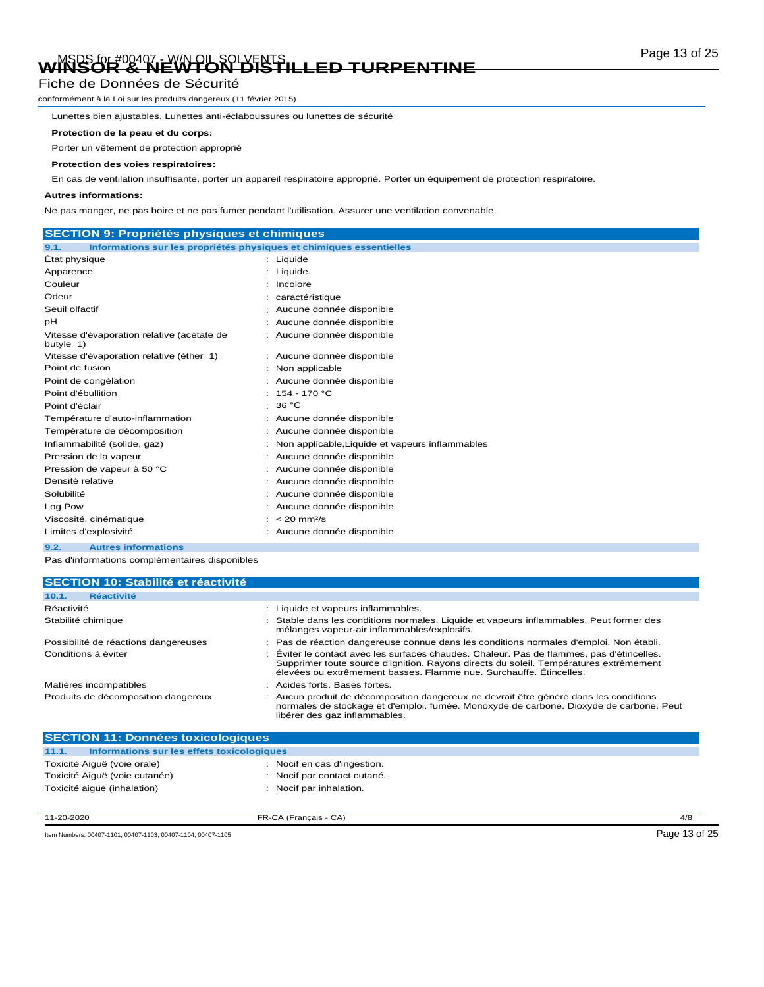# Page 13 of 25 MSDS for #00407 - W/N OIL SOLVENTS **WINSOR & NEWTON DISTILLED TURPENTINE**

### Fiche de Données de Sécurité

conformément à la Loi sur les produits dangereux (11 février 2015)

Lunettes bien ajustables. Lunettes anti-éclaboussures ou lunettes de sécurité

#### **Protection de la peau et du corps:**

Porter un vêtement de protection approprié

#### **Protection des voies respiratoires:**

En cas de ventilation insuffisante, porter un appareil respiratoire approprié. Porter un équipement de protection respiratoire.

#### **Autres informations:**

Ne pas manger, ne pas boire et ne pas fumer pendant l'utilisation. Assurer une ventilation convenable.

| <b>SECTION 9: Propriétés physiques et chimiques</b>                         |                                                 |
|-----------------------------------------------------------------------------|-------------------------------------------------|
| Informations sur les propriétés physiques et chimiques essentielles<br>9.1. |                                                 |
| Etat physique                                                               | : Liquide                                       |
| Apparence                                                                   | Liquide.                                        |
| Couleur                                                                     | Incolore                                        |
| Odeur                                                                       | caractéristique                                 |
| Seuil olfactif                                                              | Aucune donnée disponible                        |
| рH                                                                          | Aucune donnée disponible                        |
| Vitesse d'évaporation relative (acétate de<br>butyle=1)                     | Aucune donnée disponible                        |
| Vitesse d'évaporation relative (éther=1)                                    | Aucune donnée disponible                        |
| Point de fusion                                                             | Non applicable                                  |
| Point de congélation                                                        | Aucune donnée disponible                        |
| Point d'ébullition                                                          | 154 - 170 °C                                    |
| Point d'éclair                                                              | 36 °C                                           |
| Température d'auto-inflammation                                             | Aucune donnée disponible                        |
| Température de décomposition                                                | Aucune donnée disponible                        |
| Inflammabilité (solide, gaz)                                                | Non applicable, Liquide et vapeurs inflammables |
| Pression de la vapeur                                                       | Aucune donnée disponible                        |
| Pression de vapeur à 50 °C                                                  | Aucune donnée disponible                        |
| Densité relative                                                            | Aucune donnée disponible                        |
| Solubilité                                                                  | Aucune donnée disponible                        |
| Log Pow                                                                     | Aucune donnée disponible                        |
| Viscosité, cinématique                                                      | $< 20$ mm <sup>2</sup> /s                       |
| Limites d'explosivité                                                       | Aucune donnée disponible                        |
| 9.2.<br><b>Autres informations</b>                                          |                                                 |

Pas d'informations complémentaires disponibles

| <b>SECTION 10: Stabilité et réactivité</b>                                                                                                                                                                                                               |
|----------------------------------------------------------------------------------------------------------------------------------------------------------------------------------------------------------------------------------------------------------|
|                                                                                                                                                                                                                                                          |
| : Liquide et vapeurs inflammables.                                                                                                                                                                                                                       |
| : Stable dans les conditions normales. Liquide et vapeurs inflammables. Peut former des<br>mélanges vapeur-air inflammables/explosifs.                                                                                                                   |
| : Pas de réaction dangereuse connue dans les conditions normales d'emploi. Non établi.                                                                                                                                                                   |
| : Éviter le contact avec les surfaces chaudes. Chaleur. Pas de flammes, pas d'étincelles.<br>Supprimer toute source d'ignition. Rayons directs du soleil. Températures extrêmement<br>élevées ou extrêmement basses. Flamme nue. Surchauffe. Étincelles. |
| : Acides forts, Bases fortes.                                                                                                                                                                                                                            |
| : Aucun produit de décomposition dangereux ne devrait être généré dans les conditions<br>normales de stockage et d'emploi. fumée. Monoxyde de carbone. Dioxyde de carbone. Peut<br>libérer des gaz inflammables.                                         |
|                                                                                                                                                                                                                                                          |

| 11.1.<br>Informations sur les effets toxicologiques |                             |  |  |
|-----------------------------------------------------|-----------------------------|--|--|
| Toxicité Aiguë (voie orale)                         | : Nocif en cas d'ingestion. |  |  |
| Toxicité Aiquë (voie cutanée)                       | : Nocif par contact cutané. |  |  |
| Toxicité aigüe (inhalation)                         | : Nocif par inhalation.     |  |  |
|                                                     |                             |  |  |
|                                                     |                             |  |  |

11-20-2020 FR-CA (Français - CA) 4/8

Item Numbers: 00407-1101, 00407-1103, 00407-1104, 00407-1105 CONVERTED FOR DETAILS AND RESEARCH 2D TO DETAILS A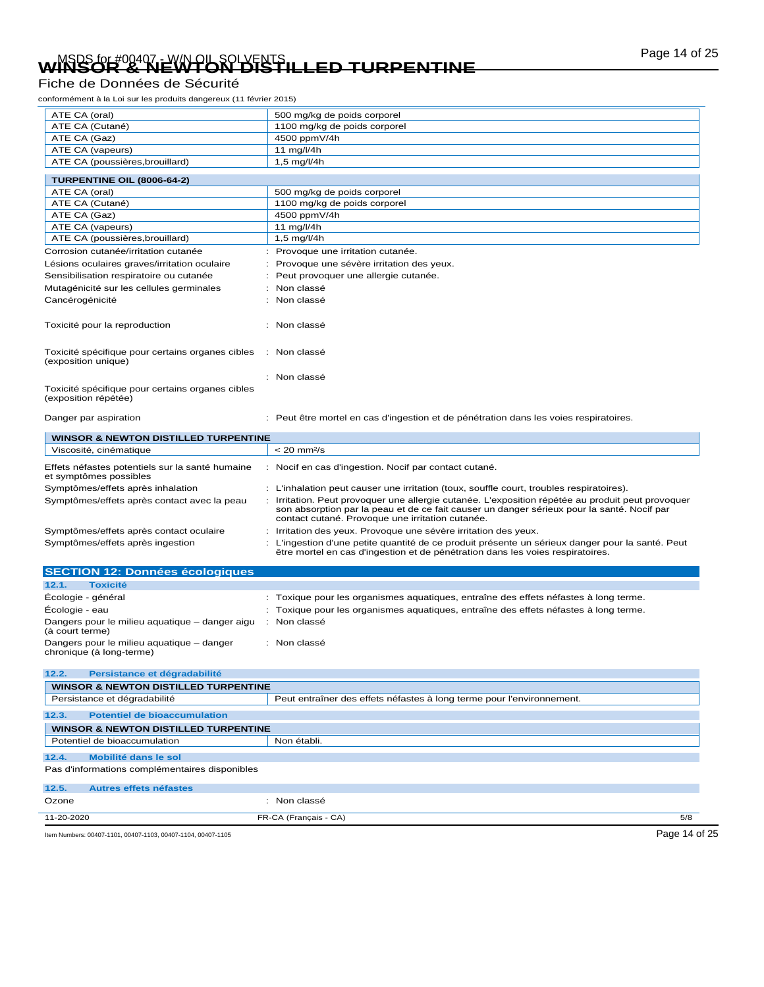# Page 14 of 25 MSDS for #00407 - W/N OIL SOLVENTS **WINSOR & NEWTON DISTILLED TURPENTINE**

## Fiche de Données de Sécurité

conformément à la Loi sur les produits dangereux (11 février 2015)

| ATE CA (oral)                                                             | 500 mg/kg de poids corporel                                                                                                                                                                                                                       |
|---------------------------------------------------------------------------|---------------------------------------------------------------------------------------------------------------------------------------------------------------------------------------------------------------------------------------------------|
| ATE CA (Cutané)                                                           | 1100 mg/kg de poids corporel                                                                                                                                                                                                                      |
| ATE CA (Gaz)                                                              | 4500 ppmV/4h                                                                                                                                                                                                                                      |
| ATE CA (vapeurs)                                                          | 11 mg/l/4h                                                                                                                                                                                                                                        |
| ATE CA (poussières, brouillard)                                           | 1,5 mg/l/4h                                                                                                                                                                                                                                       |
| <b>TURPENTINE OIL (8006-64-2)</b>                                         |                                                                                                                                                                                                                                                   |
| ATE CA (oral)                                                             | 500 mg/kg de poids corporel                                                                                                                                                                                                                       |
| ATE CA (Cutané)                                                           | 1100 mg/kg de poids corporel                                                                                                                                                                                                                      |
| ATE CA (Gaz)                                                              | 4500 ppmV/4h                                                                                                                                                                                                                                      |
| ATE CA (vapeurs)                                                          | 11 mg/l/4h                                                                                                                                                                                                                                        |
| ATE CA (poussières, brouillard)                                           | 1,5 mg/l/4h                                                                                                                                                                                                                                       |
| Corrosion cutanée/irritation cutanée                                      | Provoque une irritation cutanée.                                                                                                                                                                                                                  |
| Lésions oculaires graves/irritation oculaire                              | Provoque une sévère irritation des yeux.                                                                                                                                                                                                          |
| Sensibilisation respiratoire ou cutanée                                   | Peut provoquer une allergie cutanée.                                                                                                                                                                                                              |
| Mutagénicité sur les cellules germinales                                  | Non classé                                                                                                                                                                                                                                        |
| Cancérogénicité                                                           | Non classé                                                                                                                                                                                                                                        |
|                                                                           |                                                                                                                                                                                                                                                   |
| Toxicité pour la reproduction                                             | Non classé                                                                                                                                                                                                                                        |
| Toxicité spécifique pour certains organes cibles<br>(exposition unique)   | : Non classé                                                                                                                                                                                                                                      |
|                                                                           | : Non classé                                                                                                                                                                                                                                      |
| Toxicité spécifique pour certains organes cibles<br>(exposition répétée)  |                                                                                                                                                                                                                                                   |
| Danger par aspiration                                                     | : Peut être mortel en cas d'ingestion et de pénétration dans les voies respiratoires.                                                                                                                                                             |
| <b>WINSOR &amp; NEWTON DISTILLED TURPENTINE</b>                           |                                                                                                                                                                                                                                                   |
| Viscosité, cinématique                                                    | $< 20$ mm $2/s$                                                                                                                                                                                                                                   |
| Effets néfastes potentiels sur la santé humaine<br>et symptômes possibles | Nocif en cas d'ingestion. Nocif par contact cutané.                                                                                                                                                                                               |
| Symptômes/effets après inhalation                                         | : L'inhalation peut causer une irritation (toux, souffle court, troubles respiratoires).                                                                                                                                                          |
| Symptômes/effets après contact avec la peau                               | Irritation. Peut provoquer une allergie cutanée. L'exposition répétée au produit peut provoquer<br>son absorption par la peau et de ce fait causer un danger sérieux pour la santé. Nocif par<br>contact cutané. Provoque une irritation cutanée. |
| Symptômes/effets après contact oculaire                                   | Irritation des yeux. Provoque une sévère irritation des yeux.                                                                                                                                                                                     |
| Symptômes/effets après ingestion                                          | L'ingestion d'une petite quantité de ce produit présente un sérieux danger pour la santé. Peut<br>être mortel en cas d'ingestion et de pénétration dans les voies respiratoires.                                                                  |
| <b>SECTION 12: Données écologiques</b>                                    |                                                                                                                                                                                                                                                   |
| 12.1.<br><b>Toxicité</b>                                                  |                                                                                                                                                                                                                                                   |
| Écologie - général                                                        | : Toxique pour les organismes aquatiques, entraîne des effets néfastes à long terme.                                                                                                                                                              |
| Écologie - eau                                                            | Toxique pour les organismes aquatiques, entraîne des effets néfastes à long terme.                                                                                                                                                                |
| Dangers pour le milieu aquatique - danger aigu<br>÷<br>(à court terme)    | Non classé                                                                                                                                                                                                                                        |
| Dangers pour le milieu aquatique - danger<br>chronique (à long-terme)     | : Non classé                                                                                                                                                                                                                                      |
| 12.2.<br>Persistance et dégradabilité                                     |                                                                                                                                                                                                                                                   |
| <b>WINSOR &amp; NEWTON DISTILLED TURPENTINE</b>                           |                                                                                                                                                                                                                                                   |
| Persistance et dégradabilité                                              | Peut entraîner des effets néfastes à long terme pour l'environnement.                                                                                                                                                                             |
| <b>Potentiel de bioaccumulation</b><br>12.3.                              |                                                                                                                                                                                                                                                   |
| <b>WINSOR &amp; NEWTON DISTILLED TURPENTINE</b>                           |                                                                                                                                                                                                                                                   |
| Potentiel de bioaccumulation                                              | Non établi.                                                                                                                                                                                                                                       |
| <b>Mobilité dans le sol</b><br>12.4.                                      |                                                                                                                                                                                                                                                   |
| Pas d'informations complémentaires disponibles                            |                                                                                                                                                                                                                                                   |
|                                                                           |                                                                                                                                                                                                                                                   |
| 12.5.<br><b>Autres effets néfastes</b>                                    |                                                                                                                                                                                                                                                   |
| Ozone                                                                     | : Non classé                                                                                                                                                                                                                                      |

Item Numbers: 00407-1101, 00407-1103, 00407-1104, 00407-1105 Page 14 of 25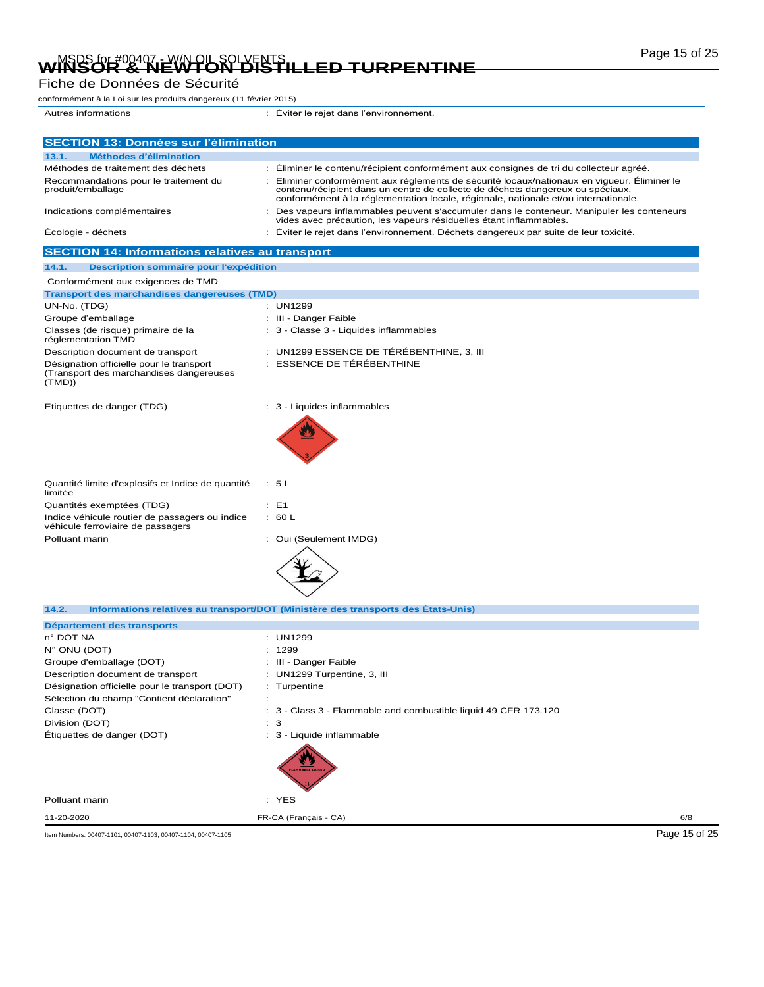# Page 15 of 25 MSDS for #00407 - W/N OIL SOLVENTS **WINSOR & NEWTON DISTILLED TURPENTINE**

#### Fiche de Données de Sécurité

conformément à la Loi sur les produits dangereux (11 février 2015)

**SECTION 14: Informations relatives au transport**

Autres informations : Éviter le rejet dans l'environnement. **SECTION 13: Données sur l'élimination 13.1. Méthodes d'élimination**

| .<br><b>NEUROUS Q ENTIRATON</b>                            |                                                                                                                                                                                                                                                                    |
|------------------------------------------------------------|--------------------------------------------------------------------------------------------------------------------------------------------------------------------------------------------------------------------------------------------------------------------|
| Méthodes de traitement des déchets                         | : Éliminer le contenu/récipient conformément aux consignes de tri du collecteur agréé.                                                                                                                                                                             |
| Recommandations pour le traitement du<br>produit/emballage | Eliminer conformément aux règlements de sécurité locaux/nationaux en vigueur. Éliminer le<br>contenu/récipient dans un centre de collecte de déchets dangereux ou spéciaux,<br>conformément à la réglementation locale, régionale, nationale et/ou internationale. |
| Indications complémentaires                                | Des vapeurs inflammables peuvent s'accumuler dans le conteneur. Manipuler les conteneurs<br>vides avec précaution, les vapeurs résiduelles étant inflammables.                                                                                                     |
| Écologie - déchets                                         | Éviter le rejet dans l'environnement. Déchets dangereux par suite de leur toxicité.                                                                                                                                                                                |

**14.1. Description sommaire pour l'expédition** Conformément aux exigences de TMD **Transport des marchandises dangereuses (TMD)** UN-No. (TDG) : UN1299 Groupe d'emballage  $\qquad \qquad$  : III - Danger Faible Classes (de risque) primaire de la réglementation TMD : 3 - Classe 3 - Liquides inflammables Description document de transport : UN1299 ESSENCE DE TÉRÉBENTHINE, 3, III Désignation officielle pour le transport (Transport des marchandises dangereuses (TMD)) : ESSENCE DE TÉRÉBENTHINE Etiquettes de danger (TDG) : 3 - Liquides inflammables Quantité limite d'explosifs et Indice de quantité limitée : 5 L Quantités exemptées (TDG)  $\qquad \qquad : E1$ Indice véhicule routier de passagers ou indice véhicule ferroviaire de passagers : 60 L Polluant marin **in the case of the COVID-S**  $\sim$  Oui (Seulement IMDG) **14.2. Informations relatives au transport/DOT (Ministère des transports des États-Unis) Département des transports** n° DOT NA : UN1299 N° ONU (DOT) : 1299 Groupe d'emballage (DOT) : III - Danger Faible Description document de transport : UN1299 Turpentine, 3, III Désignation officielle pour le transport (DOT) : Turpentine

Sélection du champ "Contient déclaration" : Classe (DOT) : 3 - Class 3 - Flammable and combustible liquid 49 CFR 173.120 Division (DOT) : 3

Étiquettes de danger (DOT) : 3 - Liquide inflammable



Polluant marin : YES

11-20-2020 FR-CA (Français - CA) 6/8

Item Numbers: 00407-1101, 00407-1103, 00407-1104, 00407-1105 **Page 15 of 25**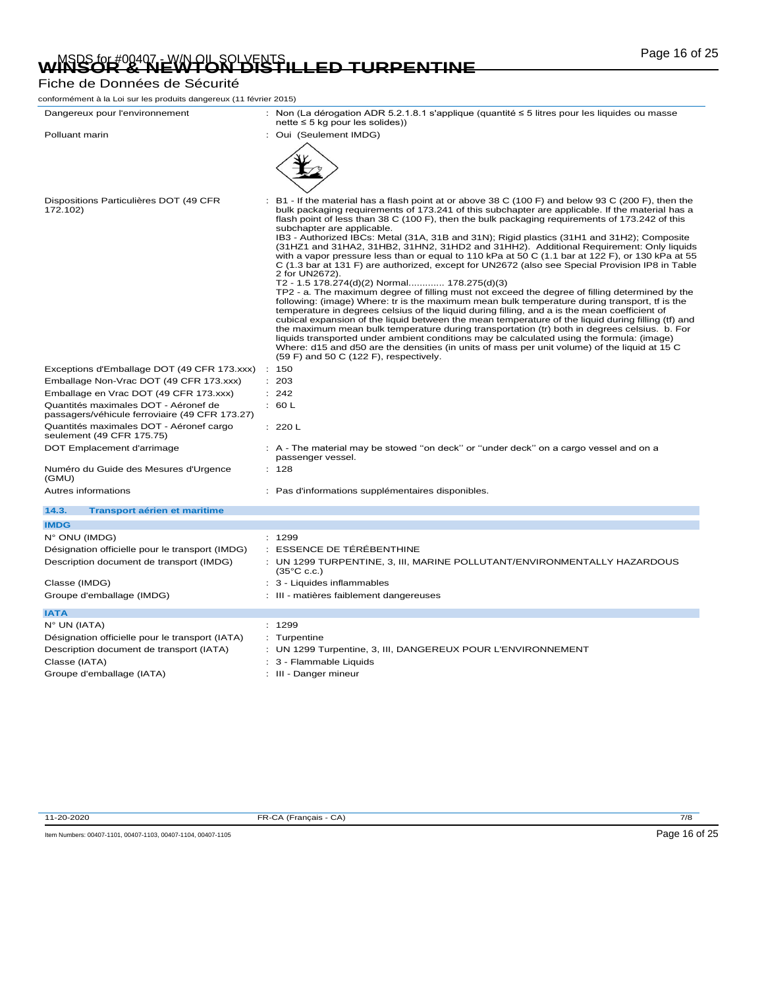# Page 16 of 25 MSDS for #00407 - W/N OIL SOLVENTS **WINSOR & NEWTON DISTILLED TURPENTINE**

## Fiche de Données de Sécurité

| conformément à la Loi sur les produits dangereux (11 février 2015)                          |                                                                                                                                                                                                                                                                                                                                                                                                                                                                                                                                                                                                                                                                                                                                                                                                                                                                                                                                                                                                                                                                                                                                                                                                                                                                                                                                                                                                                                                                                                                                                            |
|---------------------------------------------------------------------------------------------|------------------------------------------------------------------------------------------------------------------------------------------------------------------------------------------------------------------------------------------------------------------------------------------------------------------------------------------------------------------------------------------------------------------------------------------------------------------------------------------------------------------------------------------------------------------------------------------------------------------------------------------------------------------------------------------------------------------------------------------------------------------------------------------------------------------------------------------------------------------------------------------------------------------------------------------------------------------------------------------------------------------------------------------------------------------------------------------------------------------------------------------------------------------------------------------------------------------------------------------------------------------------------------------------------------------------------------------------------------------------------------------------------------------------------------------------------------------------------------------------------------------------------------------------------------|
| Dangereux pour l'environnement                                                              | : Non (La dérogation ADR 5.2.1.8.1 s'applique (quantité $\leq$ 5 litres pour les liquides ou masse<br>$nette \leq 5$ kg pour les solides))                                                                                                                                                                                                                                                                                                                                                                                                                                                                                                                                                                                                                                                                                                                                                                                                                                                                                                                                                                                                                                                                                                                                                                                                                                                                                                                                                                                                                 |
| Polluant marin                                                                              | : Oui (Seulement IMDG)                                                                                                                                                                                                                                                                                                                                                                                                                                                                                                                                                                                                                                                                                                                                                                                                                                                                                                                                                                                                                                                                                                                                                                                                                                                                                                                                                                                                                                                                                                                                     |
|                                                                                             |                                                                                                                                                                                                                                                                                                                                                                                                                                                                                                                                                                                                                                                                                                                                                                                                                                                                                                                                                                                                                                                                                                                                                                                                                                                                                                                                                                                                                                                                                                                                                            |
| Dispositions Particulières DOT (49 CFR<br>172.102)                                          | B1 - If the material has a flash point at or above 38 C (100 F) and below 93 C (200 F), then the<br>bulk packaging requirements of 173.241 of this subchapter are applicable. If the material has a<br>flash point of less than 38 C (100 F), then the bulk packaging requirements of 173.242 of this<br>subchapter are applicable.<br>IB3 - Authorized IBCs: Metal (31A, 31B and 31N); Rigid plastics (31H1 and 31H2); Composite<br>(31HZ1 and 31HA2, 31HB2, 31HN2, 31HD2 and 31HH2). Additional Requirement: Only liquids<br>with a vapor pressure less than or equal to 110 kPa at 50 C (1.1 bar at 122 F), or 130 kPa at 55<br>C (1.3 bar at 131 F) are authorized, except for UN2672 (also see Special Provision IP8 in Table<br>2 for UN2672).<br>T2 - 1.5 178.274(d)(2) Normal 178.275(d)(3)<br>TP2 - a. The maximum degree of filling must not exceed the degree of filling determined by the<br>following: (image) Where: tr is the maximum mean bulk temperature during transport, if is the<br>temperature in degrees celsius of the liquid during filling, and a is the mean coefficient of<br>cubical expansion of the liquid between the mean temperature of the liquid during filling (tf) and<br>the maximum mean bulk temperature during transportation (tr) both in degrees celsius. b. For<br>liquids transported under ambient conditions may be calculated using the formula: (image)<br>Where: d15 and d50 are the densities (in units of mass per unit volume) of the liquid at 15 C<br>$(59 F)$ and 50 C $(122 F)$ , respectively. |
| Exceptions d'Emballage DOT (49 CFR 173.xxx)                                                 | 150<br>$\mathbb{R}^n$                                                                                                                                                                                                                                                                                                                                                                                                                                                                                                                                                                                                                                                                                                                                                                                                                                                                                                                                                                                                                                                                                                                                                                                                                                                                                                                                                                                                                                                                                                                                      |
| Emballage Non-Vrac DOT (49 CFR 173.xxx)                                                     | : 203                                                                                                                                                                                                                                                                                                                                                                                                                                                                                                                                                                                                                                                                                                                                                                                                                                                                                                                                                                                                                                                                                                                                                                                                                                                                                                                                                                                                                                                                                                                                                      |
| Emballage en Vrac DOT (49 CFR 173.xxx)                                                      | : 242                                                                                                                                                                                                                                                                                                                                                                                                                                                                                                                                                                                                                                                                                                                                                                                                                                                                                                                                                                                                                                                                                                                                                                                                                                                                                                                                                                                                                                                                                                                                                      |
| Quantités maximales DOT - Aéronef de<br>passagers/véhicule ferroviaire (49 CFR 173.27)      | : 60 L                                                                                                                                                                                                                                                                                                                                                                                                                                                                                                                                                                                                                                                                                                                                                                                                                                                                                                                                                                                                                                                                                                                                                                                                                                                                                                                                                                                                                                                                                                                                                     |
| Quantités maximales DOT - Aéronef cargo<br>seulement (49 CFR 175.75)                        | : 220 L                                                                                                                                                                                                                                                                                                                                                                                                                                                                                                                                                                                                                                                                                                                                                                                                                                                                                                                                                                                                                                                                                                                                                                                                                                                                                                                                                                                                                                                                                                                                                    |
| DOT Emplacement d'arrimage                                                                  | : A - The material may be stowed "on deck" or "under deck" on a cargo vessel and on a<br>passenger vessel.                                                                                                                                                                                                                                                                                                                                                                                                                                                                                                                                                                                                                                                                                                                                                                                                                                                                                                                                                                                                                                                                                                                                                                                                                                                                                                                                                                                                                                                 |
| Numéro du Guide des Mesures d'Urgence<br>(GMU)                                              | : 128                                                                                                                                                                                                                                                                                                                                                                                                                                                                                                                                                                                                                                                                                                                                                                                                                                                                                                                                                                                                                                                                                                                                                                                                                                                                                                                                                                                                                                                                                                                                                      |
| Autres informations                                                                         | : Pas d'informations supplémentaires disponibles.                                                                                                                                                                                                                                                                                                                                                                                                                                                                                                                                                                                                                                                                                                                                                                                                                                                                                                                                                                                                                                                                                                                                                                                                                                                                                                                                                                                                                                                                                                          |
| 14.3.<br><b>Transport aérien et maritime</b>                                                |                                                                                                                                                                                                                                                                                                                                                                                                                                                                                                                                                                                                                                                                                                                                                                                                                                                                                                                                                                                                                                                                                                                                                                                                                                                                                                                                                                                                                                                                                                                                                            |
| <b>IMDG</b>                                                                                 |                                                                                                                                                                                                                                                                                                                                                                                                                                                                                                                                                                                                                                                                                                                                                                                                                                                                                                                                                                                                                                                                                                                                                                                                                                                                                                                                                                                                                                                                                                                                                            |
| $N^{\circ}$ ONU (IMDG)                                                                      | : 1299                                                                                                                                                                                                                                                                                                                                                                                                                                                                                                                                                                                                                                                                                                                                                                                                                                                                                                                                                                                                                                                                                                                                                                                                                                                                                                                                                                                                                                                                                                                                                     |
| Désignation officielle pour le transport (IMDG)<br>Description document de transport (IMDG) | : ESSENCE DE TÉRÉBENTHINE<br>: UN 1299 TURPENTINE, 3, III, MARINE POLLUTANT/ENVIRONMENTALLY HAZARDOUS<br>$(35^{\circ}$ C c.c.)                                                                                                                                                                                                                                                                                                                                                                                                                                                                                                                                                                                                                                                                                                                                                                                                                                                                                                                                                                                                                                                                                                                                                                                                                                                                                                                                                                                                                             |
| Classe (IMDG)                                                                               | : 3 - Liquides inflammables                                                                                                                                                                                                                                                                                                                                                                                                                                                                                                                                                                                                                                                                                                                                                                                                                                                                                                                                                                                                                                                                                                                                                                                                                                                                                                                                                                                                                                                                                                                                |
| Groupe d'emballage (IMDG)                                                                   | : III - matières faiblement dangereuses                                                                                                                                                                                                                                                                                                                                                                                                                                                                                                                                                                                                                                                                                                                                                                                                                                                                                                                                                                                                                                                                                                                                                                                                                                                                                                                                                                                                                                                                                                                    |
| <b>IATA</b>                                                                                 |                                                                                                                                                                                                                                                                                                                                                                                                                                                                                                                                                                                                                                                                                                                                                                                                                                                                                                                                                                                                                                                                                                                                                                                                                                                                                                                                                                                                                                                                                                                                                            |
| $N^{\circ}$ UN (IATA)                                                                       | : 1299                                                                                                                                                                                                                                                                                                                                                                                                                                                                                                                                                                                                                                                                                                                                                                                                                                                                                                                                                                                                                                                                                                                                                                                                                                                                                                                                                                                                                                                                                                                                                     |
| Désignation officielle pour le transport (IATA)                                             | : Turpentine                                                                                                                                                                                                                                                                                                                                                                                                                                                                                                                                                                                                                                                                                                                                                                                                                                                                                                                                                                                                                                                                                                                                                                                                                                                                                                                                                                                                                                                                                                                                               |
| Description document de transport (IATA)                                                    | : UN 1299 Turpentine, 3, III, DANGEREUX POUR L'ENVIRONNEMENT                                                                                                                                                                                                                                                                                                                                                                                                                                                                                                                                                                                                                                                                                                                                                                                                                                                                                                                                                                                                                                                                                                                                                                                                                                                                                                                                                                                                                                                                                               |
| Classe (IATA)                                                                               | : 3 - Flammable Liquids                                                                                                                                                                                                                                                                                                                                                                                                                                                                                                                                                                                                                                                                                                                                                                                                                                                                                                                                                                                                                                                                                                                                                                                                                                                                                                                                                                                                                                                                                                                                    |
| Groupe d'emballage (IATA)                                                                   | III - Danger mineur                                                                                                                                                                                                                                                                                                                                                                                                                                                                                                                                                                                                                                                                                                                                                                                                                                                                                                                                                                                                                                                                                                                                                                                                                                                                                                                                                                                                                                                                                                                                        |

11-20-2020 FR-CA (Français - CA) 7/8

Item Numbers: 00407-1101, 00407-1103, 00407-1104, 00407-1105 Page 16 of 25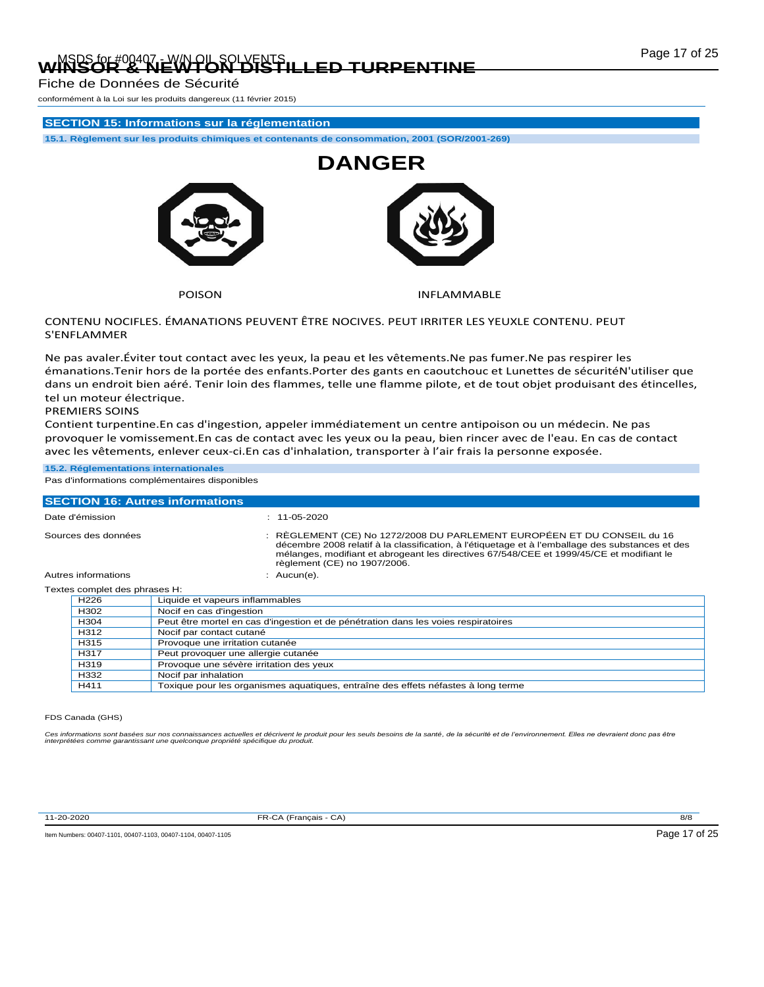# Page 17 of 25 MSDS for #00407 - W/N OIL SOLVENTS **WINSOR & NEWTON DISTILLED TURPENTINE**

Fiche de Données de Sécurité

conformément à la Loi sur les produits dangereux (11 février 2015)

### **SECTION 15: Informations sur la réglementation**

**15.1. Règlement sur les produits chimiques et contenants de consommation, 2001 (SOR/2001-269)**



POISON **INFLAMMABLE** 

#### CONTENU NOCIFLES. ÉMANATIONS PEUVENT ÊTRE NOCIVES. PEUT IRRITER LES YEUXLE CONTENU. PEUT S'ENFLAMMER

Ne pas avaler.Éviter tout contact avec les yeux, la peau et les vêtements.Ne pas fumer.Ne pas respirer les émanations.Tenir hors de la portée des enfants.Porter des gants en caoutchouc et Lunettes de sécuritéN'utiliser que dans un endroit bien aéré. Tenir loin des flammes, telle une flamme pilote, et de tout objet produisant des étincelles, tel un moteur électrique.

#### PREMIERS SOINS

Contient turpentine.En cas d'ingestion, appeler immédiatement un centre antipoison ou un médecin. Ne pas provoquer le vomissement.En cas de contact avec les yeux ou la peau, bien rincer avec de l'eau. En cas de contact avec les vêtements, enlever ceux-ci.En cas d'inhalation, transporter à l'air frais la personne exposée.

#### **15.2. Réglementations internationales**

Pas d'informations complémentaires disponibles

|                               | <b>SECTION 16: Autres informations</b>                                                                                                                                                                                                                                                                  |
|-------------------------------|---------------------------------------------------------------------------------------------------------------------------------------------------------------------------------------------------------------------------------------------------------------------------------------------------------|
| Date d'émission               | $: 11 - 05 - 2020$                                                                                                                                                                                                                                                                                      |
| Sources des données           | : RÈGLEMENT (CE) No 1272/2008 DU PARLEMENT EUROPÉEN ET DU CONSEIL du 16<br>décembre 2008 relatif à la classification, à l'étiquetage et à l'emballage des substances et des<br>mélanges, modifiant et abrogeant les directives 67/548/CEE et 1999/45/CE et modifiant le<br>règlement (CE) no 1907/2006. |
| Autres informations           | : Aucun(e).                                                                                                                                                                                                                                                                                             |
| Textes complet des phrases H: |                                                                                                                                                                                                                                                                                                         |
| H <sub>226</sub>              | Liquide et vapeurs inflammables                                                                                                                                                                                                                                                                         |
| H <sub>302</sub>              | Nocif en cas d'ingestion                                                                                                                                                                                                                                                                                |
| H <sub>304</sub>              | Peut être mortel en cas d'ingestion et de pénétration dans les voies respiratoires                                                                                                                                                                                                                      |
| H312                          | Nocif par contact cutané                                                                                                                                                                                                                                                                                |
| H315                          | Provoque une irritation cutanée                                                                                                                                                                                                                                                                         |
| H317                          | Peut provoquer une allergie cutanée                                                                                                                                                                                                                                                                     |
| H319                          | Provoque une sévère irritation des yeux                                                                                                                                                                                                                                                                 |
| H <sub>332</sub>              | Nocif par inhalation                                                                                                                                                                                                                                                                                    |
| H411                          | Toxique pour les organismes aquatiques, entraîne des effets néfastes à long terme                                                                                                                                                                                                                       |

#### FDS Canada (GHS)

Ces informations sont basées sur nos connaissances actuelles et décrivent le produit pour les seuls besoins de la santé, de la sécurité et de l'environnement. Elles ne devraient donc pas être<br>interprétées comme garantissan

11-20-2020 FR-CA (Français - CA) 8/8

Item Numbers: 00407-1101, 00407-1103, 00407-1104, 00407-1105 CONVERTED A CONVERTED STATES AND RESERVED THE STATES OF A STATES OF A STATES OF A STATES OF A STATES OF A STATES OF A STATES OF A STATES OF A STATES OF A STATES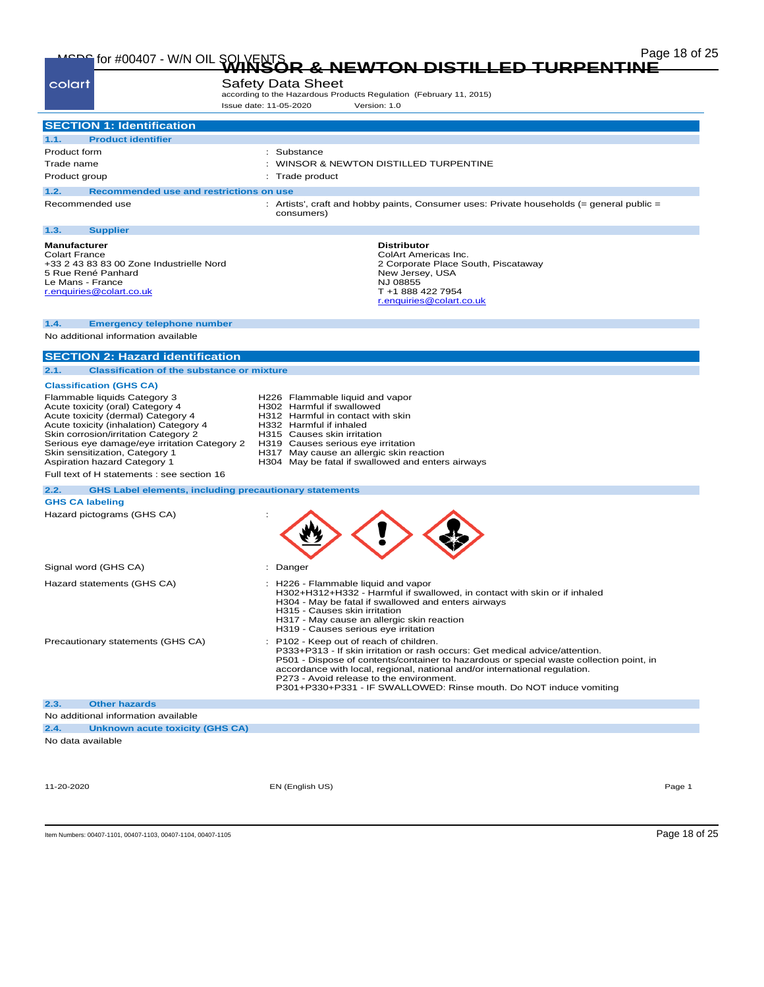| colart                                                                                                                                                                                                                                                                                                     | <b>Safety Data Sheet</b><br>according to the Hazardous Products Regulation (February 11, 2015)<br>Issue date: 11-05-2020<br>Version: 1.0                                                                                                                                                           |
|------------------------------------------------------------------------------------------------------------------------------------------------------------------------------------------------------------------------------------------------------------------------------------------------------------|----------------------------------------------------------------------------------------------------------------------------------------------------------------------------------------------------------------------------------------------------------------------------------------------------|
| <b>SECTION 1: Identification</b>                                                                                                                                                                                                                                                                           |                                                                                                                                                                                                                                                                                                    |
| <b>Product identifier</b><br>1.1.                                                                                                                                                                                                                                                                          |                                                                                                                                                                                                                                                                                                    |
| Product form                                                                                                                                                                                                                                                                                               | Substance                                                                                                                                                                                                                                                                                          |
| Trade name                                                                                                                                                                                                                                                                                                 | WINSOR & NEWTON DISTILLED TURPENTINE                                                                                                                                                                                                                                                               |
| Product group                                                                                                                                                                                                                                                                                              | Trade product                                                                                                                                                                                                                                                                                      |
| 1.2.<br>Recommended use and restrictions on use                                                                                                                                                                                                                                                            |                                                                                                                                                                                                                                                                                                    |
| Recommended use                                                                                                                                                                                                                                                                                            | Artists', craft and hobby paints, Consumer uses: Private households (= general public =<br>consumers)                                                                                                                                                                                              |
| 1.3.<br><b>Supplier</b>                                                                                                                                                                                                                                                                                    |                                                                                                                                                                                                                                                                                                    |
| <b>Manufacturer</b><br><b>Colart France</b><br>+33 2 43 83 83 00 Zone Industrielle Nord<br>5 Rue René Panhard<br>Le Mans - France<br>r.enquiries@colart.co.uk                                                                                                                                              | <b>Distributor</b><br>ColArt Americas Inc.<br>2 Corporate Place South, Piscataway<br>New Jersey, USA<br>NJ 08855<br>T +1 888 422 7954<br>r.enquiries@colart.co.uk                                                                                                                                  |
| 1.4.<br><b>Emergency telephone number</b>                                                                                                                                                                                                                                                                  |                                                                                                                                                                                                                                                                                                    |
| No additional information available                                                                                                                                                                                                                                                                        |                                                                                                                                                                                                                                                                                                    |
| <b>SECTION 2: Hazard identification</b>                                                                                                                                                                                                                                                                    |                                                                                                                                                                                                                                                                                                    |
| 2.1.<br><b>Classification of the substance or mixture</b>                                                                                                                                                                                                                                                  |                                                                                                                                                                                                                                                                                                    |
| <b>Classification (GHS CA)</b>                                                                                                                                                                                                                                                                             |                                                                                                                                                                                                                                                                                                    |
| Flammable liquids Category 3<br>Acute toxicity (oral) Category 4<br>Acute toxicity (dermal) Category 4<br>Acute toxicity (inhalation) Category 4<br>Skin corrosion/irritation Category 2<br>Serious eye damage/eye irritation Category 2<br>Skin sensitization, Category 1<br>Aspiration hazard Category 1 | H226 Flammable liquid and vapor<br>H302 Harmful if swallowed<br>H312 Harmful in contact with skin<br>H332 Harmful if inhaled<br>H315 Causes skin irritation<br>H319 Causes serious eye irritation<br>H317 May cause an allergic skin reaction<br>H304 May be fatal if swallowed and enters airways |
| Full text of H statements : see section 16                                                                                                                                                                                                                                                                 |                                                                                                                                                                                                                                                                                                    |
| 2.2.                                                                                                                                                                                                                                                                                                       | <b>GHS Label elements, including precautionary statements</b>                                                                                                                                                                                                                                      |
| <b>GHS CA labeling</b>                                                                                                                                                                                                                                                                                     |                                                                                                                                                                                                                                                                                                    |
| Hazard pictograms (GHS CA)                                                                                                                                                                                                                                                                                 |                                                                                                                                                                                                                                                                                                    |

|                                     | Signal word (GHS CA)            | Danger                                                                                                                                                                                                                                                                                                                                                                                                             |  |  |
|-------------------------------------|---------------------------------|--------------------------------------------------------------------------------------------------------------------------------------------------------------------------------------------------------------------------------------------------------------------------------------------------------------------------------------------------------------------------------------------------------------------|--|--|
| Hazard statements (GHS CA)          |                                 | : H226 - Flammable liquid and vapor<br>H302+H312+H332 - Harmful if swallowed, in contact with skin or if inhaled<br>H304 - May be fatal if swallowed and enters airways<br>H315 - Causes skin irritation<br>H317 - May cause an allergic skin reaction<br>H319 - Causes serious eye irritation                                                                                                                     |  |  |
| Precautionary statements (GHS CA)   |                                 | : P102 - Keep out of reach of children.<br>P333+P313 - If skin irritation or rash occurs: Get medical advice/attention.<br>P501 - Dispose of contents/container to hazardous or special waste collection point, in<br>accordance with local, regional, national and/or international regulation.<br>P273 - Avoid release to the environment.<br>P301+P330+P331 - IF SWALLOWED: Rinse mouth. Do NOT induce vomiting |  |  |
| 2.3.                                | <b>Other hazards</b>            |                                                                                                                                                                                                                                                                                                                                                                                                                    |  |  |
| No additional information available |                                 |                                                                                                                                                                                                                                                                                                                                                                                                                    |  |  |
| 2.4.                                | Unknown acute toxicity (GHS CA) |                                                                                                                                                                                                                                                                                                                                                                                                                    |  |  |
|                                     | No data available               |                                                                                                                                                                                                                                                                                                                                                                                                                    |  |  |

11-20-2020 EN (English US) Page 1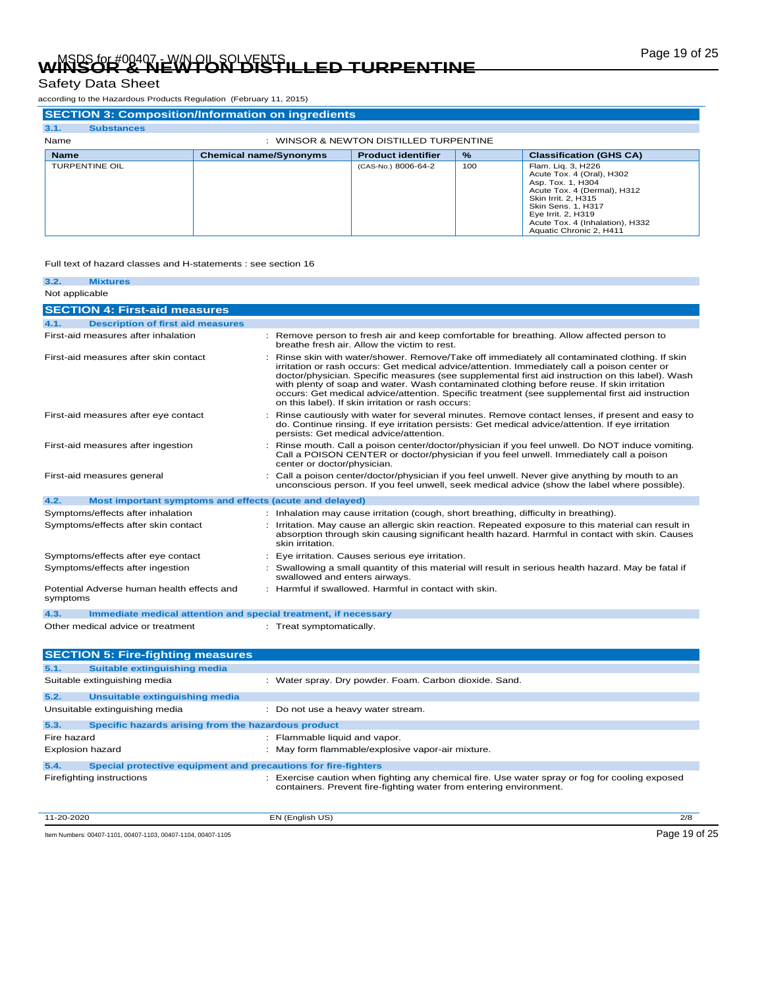# Page 19 of 25 MSDS for #00407 - W/N OIL SOLVENTS **WINSOR & NEWTON DISTILLED TURPENTINE**

## Safety Data Sheet

according to the Hazardous Products Regulation (February 11, 2015)

| <b>SECTION 3: Composition/Information on ingredients</b> |                               |                           |               |                                                                                                                                                                                                                                             |  |  |  |
|----------------------------------------------------------|-------------------------------|---------------------------|---------------|---------------------------------------------------------------------------------------------------------------------------------------------------------------------------------------------------------------------------------------------|--|--|--|
| 3.1.<br><b>Substances</b>                                |                               |                           |               |                                                                                                                                                                                                                                             |  |  |  |
| Name<br>WINSOR & NEWTON DISTILLED TURPENTINE             |                               |                           |               |                                                                                                                                                                                                                                             |  |  |  |
| <b>Name</b>                                              | <b>Chemical name/Synonyms</b> | <b>Product identifier</b> | $\frac{9}{6}$ | <b>Classification (GHS CA)</b>                                                                                                                                                                                                              |  |  |  |
| <b>TURPENTINE OIL</b>                                    |                               | (CAS-No.) 8006-64-2       | 100           | Flam. Lig. 3, H226<br>Acute Tox. 4 (Oral), H302<br>Asp. Tox. 1, H304<br>Acute Tox. 4 (Dermal), H312<br>Skin Irrit, 2, H315<br><b>Skin Sens, 1, H317</b><br>Eye Irrit. 2, H319<br>Acute Tox. 4 (Inhalation), H332<br>Aquatic Chronic 2, H411 |  |  |  |

### Full text of hazard classes and H-statements : see section 16

| 3.2.     | <b>Mixtures</b>                                                 |  |                                                                                                                                                                                                                                                                                                                                                                                                                                                                                                                                                          |  |  |
|----------|-----------------------------------------------------------------|--|----------------------------------------------------------------------------------------------------------------------------------------------------------------------------------------------------------------------------------------------------------------------------------------------------------------------------------------------------------------------------------------------------------------------------------------------------------------------------------------------------------------------------------------------------------|--|--|
|          | Not applicable                                                  |  |                                                                                                                                                                                                                                                                                                                                                                                                                                                                                                                                                          |  |  |
|          | <b>SECTION 4: First-aid measures</b>                            |  |                                                                                                                                                                                                                                                                                                                                                                                                                                                                                                                                                          |  |  |
| 4.1.     | <b>Description of first aid measures</b>                        |  |                                                                                                                                                                                                                                                                                                                                                                                                                                                                                                                                                          |  |  |
|          | First-aid measures after inhalation                             |  | : Remove person to fresh air and keep comfortable for breathing. Allow affected person to<br>breathe fresh air. Allow the victim to rest.                                                                                                                                                                                                                                                                                                                                                                                                                |  |  |
|          | First-aid measures after skin contact                           |  | Rinse skin with water/shower. Remove/Take off immediately all contaminated clothing. If skin<br>irritation or rash occurs: Get medical advice/attention. Immediately call a poison center or<br>doctor/physician. Specific measures (see supplemental first aid instruction on this label). Wash<br>with plenty of soap and water. Wash contaminated clothing before reuse. If skin irritation<br>occurs: Get medical advice/attention. Specific treatment (see supplemental first aid instruction<br>on this label). If skin irritation or rash occurs: |  |  |
|          | First-aid measures after eye contact                            |  | Rinse cautiously with water for several minutes. Remove contact lenses, if present and easy to<br>do. Continue rinsing. If eye irritation persists: Get medical advice/attention. If eye irritation<br>persists: Get medical advice/attention.                                                                                                                                                                                                                                                                                                           |  |  |
|          | First-aid measures after ingestion                              |  | Rinse mouth. Call a poison center/doctor/physician if you feel unwell. Do NOT induce vomiting.<br>Call a POISON CENTER or doctor/physician if you feel unwell. Immediately call a poison<br>center or doctor/physician.                                                                                                                                                                                                                                                                                                                                  |  |  |
|          | First-aid measures general                                      |  | Call a poison center/doctor/physician if you feel unwell. Never give anything by mouth to an<br>unconscious person. If you feel unwell, seek medical advice (show the label where possible).                                                                                                                                                                                                                                                                                                                                                             |  |  |
| 4.2.     | Most important symptoms and effects (acute and delayed)         |  |                                                                                                                                                                                                                                                                                                                                                                                                                                                                                                                                                          |  |  |
|          | Symptoms/effects after inhalation                               |  | : Inhalation may cause irritation (cough, short breathing, difficulty in breathing).                                                                                                                                                                                                                                                                                                                                                                                                                                                                     |  |  |
|          | Symptoms/effects after skin contact                             |  | Irritation. May cause an allergic skin reaction. Repeated exposure to this material can result in<br>absorption through skin causing significant health hazard. Harmful in contact with skin. Causes<br>skin irritation.                                                                                                                                                                                                                                                                                                                                 |  |  |
|          | Symptoms/effects after eye contact                              |  | Eye irritation. Causes serious eye irritation.                                                                                                                                                                                                                                                                                                                                                                                                                                                                                                           |  |  |
|          | Symptoms/effects after ingestion                                |  | Swallowing a small quantity of this material will result in serious health hazard. May be fatal if<br>swallowed and enters airways.                                                                                                                                                                                                                                                                                                                                                                                                                      |  |  |
| symptoms | Potential Adverse human health effects and                      |  | Harmful if swallowed. Harmful in contact with skin.                                                                                                                                                                                                                                                                                                                                                                                                                                                                                                      |  |  |
| 4.3.     | Immediate medical attention and special treatment, if necessary |  |                                                                                                                                                                                                                                                                                                                                                                                                                                                                                                                                                          |  |  |
|          | Other medical advice or treatment                               |  | : Treat symptomatically.                                                                                                                                                                                                                                                                                                                                                                                                                                                                                                                                 |  |  |

|                         | <b>SECTION 5: Fire-fighting measures</b>                       |                                                                                                                                                                    |     |  |
|-------------------------|----------------------------------------------------------------|--------------------------------------------------------------------------------------------------------------------------------------------------------------------|-----|--|
| 5.1.                    | Suitable extinguishing media                                   |                                                                                                                                                                    |     |  |
|                         | Suitable extinguishing media                                   | : Water spray. Dry powder. Foam. Carbon dioxide. Sand.                                                                                                             |     |  |
| 5.2.                    | Unsuitable extinguishing media                                 |                                                                                                                                                                    |     |  |
|                         | Unsuitable extinguishing media                                 | : Do not use a heavy water stream.                                                                                                                                 |     |  |
| 5.3.                    | Specific hazards arising from the hazardous product            |                                                                                                                                                                    |     |  |
| Fire hazard             |                                                                | : Flammable liquid and vapor.                                                                                                                                      |     |  |
| <b>Explosion hazard</b> |                                                                | : May form flammable/explosive vapor-air mixture.                                                                                                                  |     |  |
| 5.4.                    | Special protective equipment and precautions for fire-fighters |                                                                                                                                                                    |     |  |
|                         | Firefighting instructions                                      | Exercise caution when fighting any chemical fire. Use water spray or fog for cooling exposed<br>containers. Prevent fire-fighting water from entering environment. |     |  |
| 11-20-2020              |                                                                | EN (English US)                                                                                                                                                    | 2/8 |  |

Item Numbers: 00407-1101, 00407-1103, 00407-1104, 00407-1105 Page 19 of 25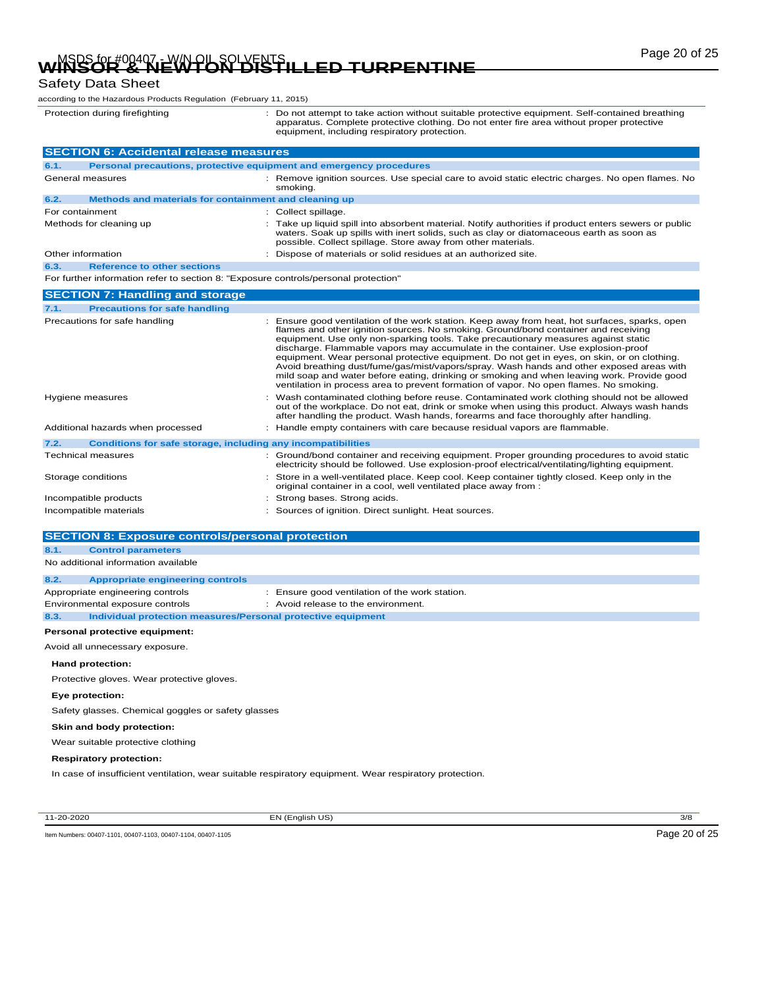# Page 20 of 25 MSDS for #00407 - W/N OIL SOLVENTS **WINSOR & NEWTON DISTILLED TURPENTINE**

### Safety Data Sheet

according to the Hazardous Products Regulation (February 11, 2015)

Protection during firefighting <br>
2. Do not attempt to take action without suitable protective equipment. Self-contained breathing<br>
2. Complete protective clothing. Do not enter fire area without proper protective<br>
9. equip

|                       | <b>SECTION 6: Accidental release measures</b>                                       |  |                                                                                                                                                                                                                                                                                                                                                                                                                                                                                                                                                                                                                                                                                                                                                 |  |  |
|-----------------------|-------------------------------------------------------------------------------------|--|-------------------------------------------------------------------------------------------------------------------------------------------------------------------------------------------------------------------------------------------------------------------------------------------------------------------------------------------------------------------------------------------------------------------------------------------------------------------------------------------------------------------------------------------------------------------------------------------------------------------------------------------------------------------------------------------------------------------------------------------------|--|--|
| 6.1.                  | Personal precautions, protective equipment and emergency procedures                 |  |                                                                                                                                                                                                                                                                                                                                                                                                                                                                                                                                                                                                                                                                                                                                                 |  |  |
|                       | General measures                                                                    |  | Remove ignition sources. Use special care to avoid static electric charges. No open flames. No<br>smoking.                                                                                                                                                                                                                                                                                                                                                                                                                                                                                                                                                                                                                                      |  |  |
| 6.2.                  | Methods and materials for containment and cleaning up                               |  |                                                                                                                                                                                                                                                                                                                                                                                                                                                                                                                                                                                                                                                                                                                                                 |  |  |
| For containment       |                                                                                     |  | Collect spillage.                                                                                                                                                                                                                                                                                                                                                                                                                                                                                                                                                                                                                                                                                                                               |  |  |
|                       | Methods for cleaning up                                                             |  | Take up liquid spill into absorbent material. Notify authorities if product enters sewers or public<br>waters. Soak up spills with inert solids, such as clay or diatomaceous earth as soon as<br>possible. Collect spillage. Store away from other materials.                                                                                                                                                                                                                                                                                                                                                                                                                                                                                  |  |  |
|                       | Other information                                                                   |  | Dispose of materials or solid residues at an authorized site.                                                                                                                                                                                                                                                                                                                                                                                                                                                                                                                                                                                                                                                                                   |  |  |
| 6.3.                  | <b>Reference to other sections</b>                                                  |  |                                                                                                                                                                                                                                                                                                                                                                                                                                                                                                                                                                                                                                                                                                                                                 |  |  |
|                       | For further information refer to section 8: "Exposure controls/personal protection" |  |                                                                                                                                                                                                                                                                                                                                                                                                                                                                                                                                                                                                                                                                                                                                                 |  |  |
|                       | <b>SECTION 7: Handling and storage</b>                                              |  |                                                                                                                                                                                                                                                                                                                                                                                                                                                                                                                                                                                                                                                                                                                                                 |  |  |
| 7.1.                  | <b>Precautions for safe handling</b>                                                |  |                                                                                                                                                                                                                                                                                                                                                                                                                                                                                                                                                                                                                                                                                                                                                 |  |  |
|                       | Precautions for safe handling                                                       |  | Ensure good ventilation of the work station. Keep away from heat, hot surfaces, sparks, open<br>flames and other ignition sources. No smoking. Ground/bond container and receiving<br>equipment. Use only non-sparking tools. Take precautionary measures against static<br>discharge. Flammable vapors may accumulate in the container. Use explosion-proof<br>equipment. Wear personal protective equipment. Do not get in eyes, on skin, or on clothing.<br>Avoid breathing dust/fume/gas/mist/vapors/spray. Wash hands and other exposed areas with<br>mild soap and water before eating, drinking or smoking and when leaving work. Provide good<br>ventilation in process area to prevent formation of vapor. No open flames. No smoking. |  |  |
| Hygiene measures      |                                                                                     |  | Wash contaminated clothing before reuse. Contaminated work clothing should not be allowed<br>out of the workplace. Do not eat, drink or smoke when using this product. Always wash hands<br>after handling the product. Wash hands, forearms and face thoroughly after handling.                                                                                                                                                                                                                                                                                                                                                                                                                                                                |  |  |
|                       | Additional hazards when processed                                                   |  | Handle empty containers with care because residual vapors are flammable.                                                                                                                                                                                                                                                                                                                                                                                                                                                                                                                                                                                                                                                                        |  |  |
| 7.2.                  | Conditions for safe storage, including any incompatibilities                        |  |                                                                                                                                                                                                                                                                                                                                                                                                                                                                                                                                                                                                                                                                                                                                                 |  |  |
|                       | Technical measures                                                                  |  | Ground/bond container and receiving equipment. Proper grounding procedures to avoid static<br>electricity should be followed. Use explosion-proof electrical/ventilating/lighting equipment.                                                                                                                                                                                                                                                                                                                                                                                                                                                                                                                                                    |  |  |
| Storage conditions    |                                                                                     |  | Store in a well-ventilated place. Keep cool. Keep container tightly closed. Keep only in the<br>original container in a cool, well ventilated place away from :                                                                                                                                                                                                                                                                                                                                                                                                                                                                                                                                                                                 |  |  |
| Incompatible products |                                                                                     |  | Strong bases. Strong acids.                                                                                                                                                                                                                                                                                                                                                                                                                                                                                                                                                                                                                                                                                                                     |  |  |

| Incompatible materials | : Sources of ignition. Direct sunlight. Heat sources. |
|------------------------|-------------------------------------------------------|
|                        |                                                       |

| <b>SECTION 8: Exposure controls/personal protection</b>              |                                                |  |  |  |  |
|----------------------------------------------------------------------|------------------------------------------------|--|--|--|--|
| 8.1.<br><b>Control parameters</b>                                    |                                                |  |  |  |  |
| No additional information available                                  |                                                |  |  |  |  |
| 8.2.<br><b>Appropriate engineering controls</b>                      |                                                |  |  |  |  |
| Appropriate engineering controls                                     | : Ensure good ventilation of the work station. |  |  |  |  |
| Environmental exposure controls                                      | : Avoid release to the environment.            |  |  |  |  |
| Individual protection measures/Personal protective equipment<br>8.3. |                                                |  |  |  |  |
| Personal protective equipment:                                       |                                                |  |  |  |  |
| Avoid all unnecessary exposure.                                      |                                                |  |  |  |  |
| Hand protection:                                                     |                                                |  |  |  |  |
| Protective gloves. Wear protective gloves.                           |                                                |  |  |  |  |
| Eye protection:                                                      |                                                |  |  |  |  |
| Safety glasses. Chemical goggles or safety glasses                   |                                                |  |  |  |  |
| Skin and body protection:                                            |                                                |  |  |  |  |
| Wear suitable protective clothing                                    |                                                |  |  |  |  |

#### **Respiratory protection:**

In case of insufficient ventilation, wear suitable respiratory equipment. Wear respiratory protection.

11-20-2020 EN (English US) 3/8

Item Numbers: 00407-1101, 00407-1103, 00407-1104, 00407-1105 COMPONERS AND RELEASE AND RELEASE AND RELEASE AND RELEASE AND RELEASE AND RELEASE AND RELEASE AND RELEASE AND RELEASE AND RELEASE AND RELEASE AND RELEASE AND REL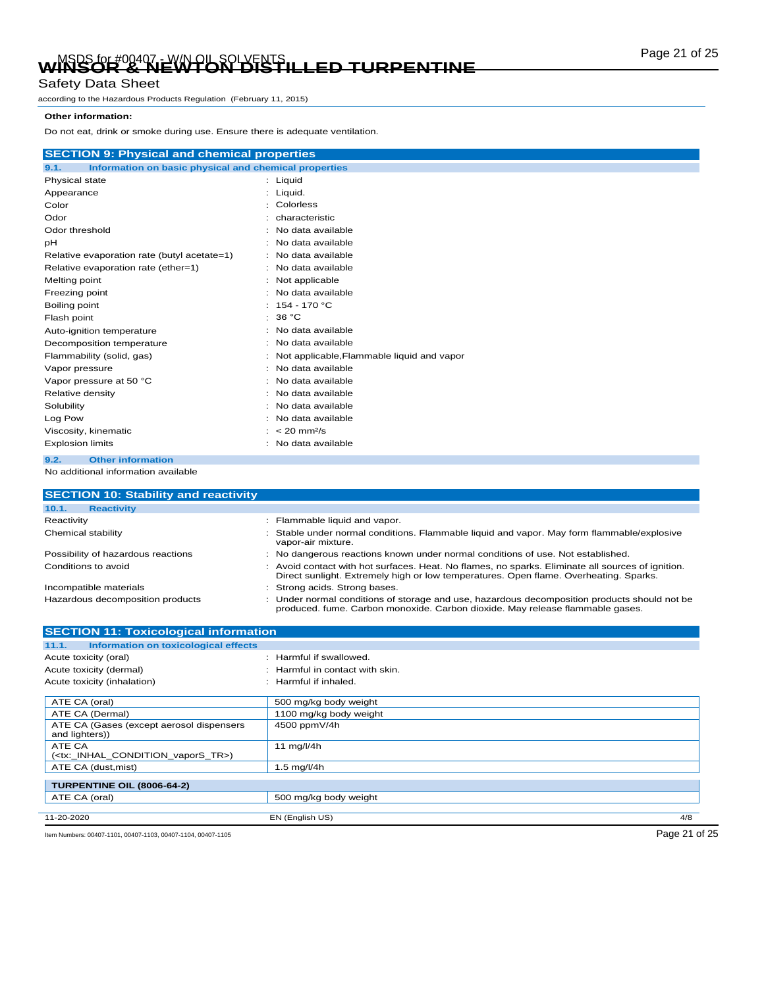# Page 21 of 25 MSDS for #00407 - W/N OIL SOLVENTS **WINSOR & NEWTON DISTILLED TURPENTINE**

### Safety Data Sheet

according to the Hazardous Products Regulation (February 11, 2015)

#### **Other information:**

Do not eat, drink or smoke during use. Ensure there is adequate ventilation.

|                           | <b>SECTION 9: Physical and chemical properties</b>    |  |                                            |  |  |
|---------------------------|-------------------------------------------------------|--|--------------------------------------------|--|--|
| 9.1.                      | Information on basic physical and chemical properties |  |                                            |  |  |
| Physical state            |                                                       |  | : Liquid                                   |  |  |
| Appearance                |                                                       |  | Liquid.                                    |  |  |
| Color                     |                                                       |  | : Colorless                                |  |  |
| Odor                      |                                                       |  | characteristic                             |  |  |
| Odor threshold            |                                                       |  | : No data available                        |  |  |
| рH                        |                                                       |  | : No data available                        |  |  |
|                           | Relative evaporation rate (butyl acetate=1)           |  | : No data available                        |  |  |
|                           | Relative evaporation rate (ether=1)                   |  | : No data available                        |  |  |
| Melting point             |                                                       |  | : Not applicable                           |  |  |
| Freezing point            |                                                       |  | No data available                          |  |  |
| Boiling point             |                                                       |  | : $154 - 170$ °C                           |  |  |
| Flash point               |                                                       |  | 36 °C                                      |  |  |
| Auto-ignition temperature |                                                       |  | No data available                          |  |  |
| Decomposition temperature |                                                       |  | No data available                          |  |  |
| Flammability (solid, gas) |                                                       |  | Not applicable, Flammable liquid and vapor |  |  |
| Vapor pressure            |                                                       |  | No data available                          |  |  |
|                           | Vapor pressure at 50 °C                               |  | No data available                          |  |  |
| Relative density          |                                                       |  | No data available                          |  |  |
| Solubility                |                                                       |  | No data available                          |  |  |
| Log Pow                   |                                                       |  | No data available                          |  |  |
| Viscosity, kinematic      |                                                       |  | $: < 20$ mm <sup>2</sup> /s                |  |  |
| <b>Explosion limits</b>   |                                                       |  | No data available                          |  |  |
| 9.2.                      | <b>Other information</b>                              |  |                                            |  |  |

No additional information available

| <b>SECTION 10: Stability and reactivity</b>  |                                                                                                                                                                                            |
|----------------------------------------------|--------------------------------------------------------------------------------------------------------------------------------------------------------------------------------------------|
| 10.1.<br><b>Reactivity</b>                   |                                                                                                                                                                                            |
| Reactivity                                   | : Flammable liquid and vapor.                                                                                                                                                              |
| Chemical stability                           | : Stable under normal conditions. Flammable liquid and vapor. May form flammable/explosive<br>vapor-air mixture.                                                                           |
| Possibility of hazardous reactions           | : No dangerous reactions known under normal conditions of use. Not established.                                                                                                            |
| Conditions to avoid                          | : Avoid contact with hot surfaces. Heat. No flames, no sparks. Eliminate all sources of ignition.<br>Direct sunlight. Extremely high or low temperatures. Open flame. Overheating. Sparks. |
| Incompatible materials                       | : Strong acids. Strong bases.                                                                                                                                                              |
| Hazardous decomposition products             | : Under normal conditions of storage and use, hazardous decomposition products should not be<br>produced. fume. Carbon monoxide. Carbon dioxide. May release flammable gases.              |
| <b>SECTION 11: Toxicological information</b> |                                                                                                                                                                                            |

| <b>ULUTION TE TUAICUIUGICAI IIIIUI IIIANUIT</b>                |                                 |               |
|----------------------------------------------------------------|---------------------------------|---------------|
| Information on toxicological effects<br>11.1.                  |                                 |               |
| Acute toxicity (oral)                                          | : Harmful if swallowed.         |               |
| Acute toxicity (dermal)                                        | : Harmful in contact with skin. |               |
| Acute toxicity (inhalation)                                    | : Harmful if inhaled.           |               |
| ATE CA (oral)                                                  | 500 mg/kg body weight           |               |
| ATE CA (Dermal)                                                | 1100 mg/kg body weight          |               |
| ATE CA (Gases (except aerosol dispensers<br>and lighters))     | 4500 ppmV/4h                    |               |
| ATE CA<br>( <tx: condition="" inhal="" tr="" vapors="">)</tx:> | 11 $mq/l/4h$                    |               |
| ATE CA (dust, mist)                                            | 1.5 $mg/l/4h$                   |               |
| TURPENTINE OIL (8006-64-2)                                     |                                 |               |
| ATE CA (oral)                                                  | 500 mg/kg body weight           |               |
| 11-20-2020                                                     | EN (English US)                 | 4/8           |
| Item Numbers: 00407-1101, 00407-1103, 00407-1104, 00407-1105   |                                 | Page 21 of 25 |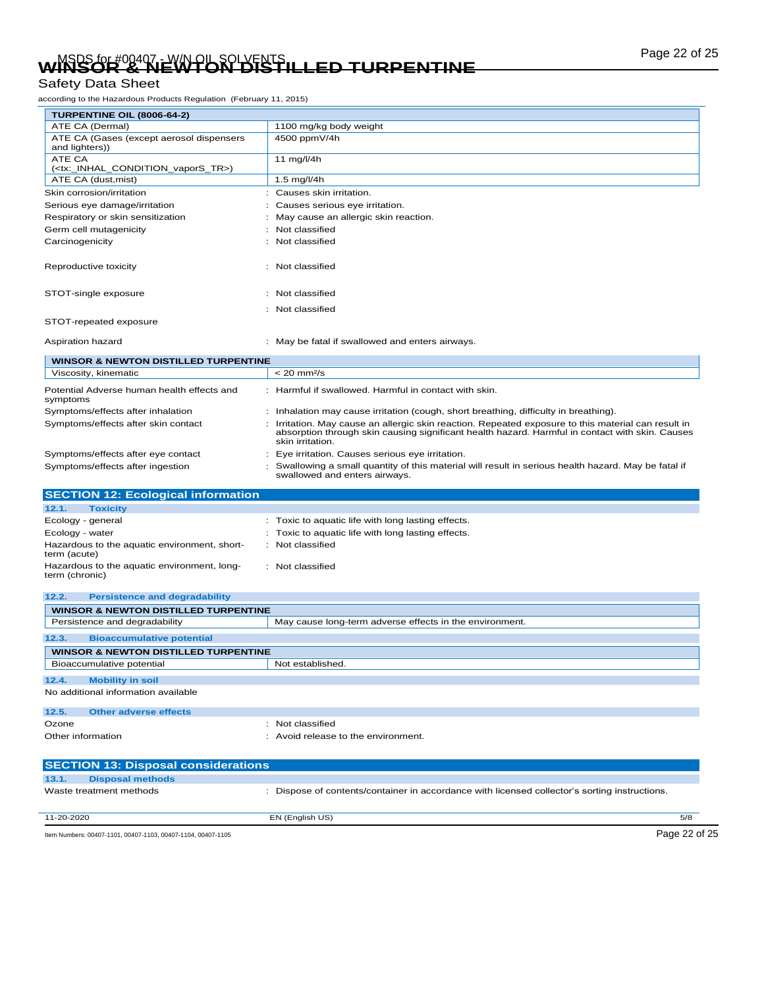# Page 22 of 25 MSDS for #00407 - W/N OIL SOLVENTS **WINSOR & NEWTON DISTILLED TURPENTINE**

### Safety Data Sheet

according to the Hazardous Products Regulation (February 11, 2015)

| TURPENTINE OIL (8006-64-2)                                                                                                                                                                                                                                      |                                                                                      |
|-----------------------------------------------------------------------------------------------------------------------------------------------------------------------------------------------------------------------------------------------------------------|--------------------------------------------------------------------------------------|
| ATE CA (Dermal)                                                                                                                                                                                                                                                 | 1100 mg/kg body weight                                                               |
| ATE CA (Gases (except aerosol dispensers<br>and lighters))                                                                                                                                                                                                      | 4500 ppmV/4h                                                                         |
| ATE CA<br>( <tx: condition="" inhal="" tr="" vapors="">)</tx:>                                                                                                                                                                                                  | 11 mg/l/4h                                                                           |
| ATE CA (dust, mist)                                                                                                                                                                                                                                             | 1.5 mg/l/4h                                                                          |
| Skin corrosion/irritation                                                                                                                                                                                                                                       | Causes skin irritation.                                                              |
| Serious eye damage/irritation                                                                                                                                                                                                                                   | Causes serious eye irritation.                                                       |
| Respiratory or skin sensitization                                                                                                                                                                                                                               | May cause an allergic skin reaction.                                                 |
| Germ cell mutagenicity                                                                                                                                                                                                                                          | : Not classified                                                                     |
| Carcinogenicity                                                                                                                                                                                                                                                 | : Not classified                                                                     |
|                                                                                                                                                                                                                                                                 |                                                                                      |
| Reproductive toxicity                                                                                                                                                                                                                                           | : Not classified                                                                     |
|                                                                                                                                                                                                                                                                 |                                                                                      |
| STOT-single exposure                                                                                                                                                                                                                                            | : Not classified                                                                     |
|                                                                                                                                                                                                                                                                 | : Not classified                                                                     |
| STOT-repeated exposure                                                                                                                                                                                                                                          |                                                                                      |
|                                                                                                                                                                                                                                                                 |                                                                                      |
| Aspiration hazard                                                                                                                                                                                                                                               | : May be fatal if swallowed and enters airways.                                      |
| <b>WINSOR &amp; NEWTON DISTILLED TURPENTINE</b>                                                                                                                                                                                                                 |                                                                                      |
| Viscosity, kinematic                                                                                                                                                                                                                                            | $< 20$ mm $2/s$                                                                      |
| Potential Adverse human health effects and<br>symptoms                                                                                                                                                                                                          | : Harmful if swallowed. Harmful in contact with skin.                                |
| Symptoms/effects after inhalation                                                                                                                                                                                                                               | : Inhalation may cause irritation (cough, short breathing, difficulty in breathing). |
| Irritation. May cause an allergic skin reaction. Repeated exposure to this material can result in<br>Symptoms/effects after skin contact<br>absorption through skin causing significant health hazard. Harmful in contact with skin. Causes<br>skin irritation. |                                                                                      |
| Symptoms/effects after eye contact                                                                                                                                                                                                                              | Eye irritation. Causes serious eye irritation.                                       |

| Symptoms/effects after ingestion                             | Swallowing a small quantity of this material will result in serious health hazard. May be fatal if<br>swallowed and enters airways. |  |
|--------------------------------------------------------------|-------------------------------------------------------------------------------------------------------------------------------------|--|
| <b>SECTION 12: Ecological information</b>                    |                                                                                                                                     |  |
| 12.1.<br><b>Toxicity</b>                                     |                                                                                                                                     |  |
| Ecology - general                                            | : Toxic to aquatic life with long lasting effects.                                                                                  |  |
| Ecology - water                                              | : Toxic to aquatic life with long lasting effects.                                                                                  |  |
| Hazardous to the aquatic environment, short-<br>term (acute) | Not classified                                                                                                                      |  |

| Hazardous to the aquatic environment, long- | : Not classified |
|---------------------------------------------|------------------|
| term (chronic)                              |                  |

| <b>WINSOR &amp; NEWTON DISTILLED TURPENTINE</b>         |  |  |  |  |
|---------------------------------------------------------|--|--|--|--|
| May cause long-term adverse effects in the environment. |  |  |  |  |
|                                                         |  |  |  |  |
| <b>WINSOR &amp; NEWTON DISTILLED TURPENTINE</b>         |  |  |  |  |
| Not established.                                        |  |  |  |  |
|                                                         |  |  |  |  |
|                                                         |  |  |  |  |
|                                                         |  |  |  |  |
| Not classified<br>٠                                     |  |  |  |  |
| Avoid release to the environment.                       |  |  |  |  |
|                                                         |  |  |  |  |
|                                                         |  |  |  |  |

| <b>SECTION 13: Disposal considerations</b>                   |                                                                                               |               |
|--------------------------------------------------------------|-----------------------------------------------------------------------------------------------|---------------|
| 13.1.<br><b>Disposal methods</b>                             |                                                                                               |               |
| Waste treatment methods                                      | : Dispose of contents/container in accordance with licensed collector's sorting instructions. |               |
| 11-20-2020                                                   | EN (English US)                                                                               | 5/8           |
| Item Numbers: 00407-1101, 00407-1103, 00407-1104, 00407-1105 |                                                                                               | Page 22 of 25 |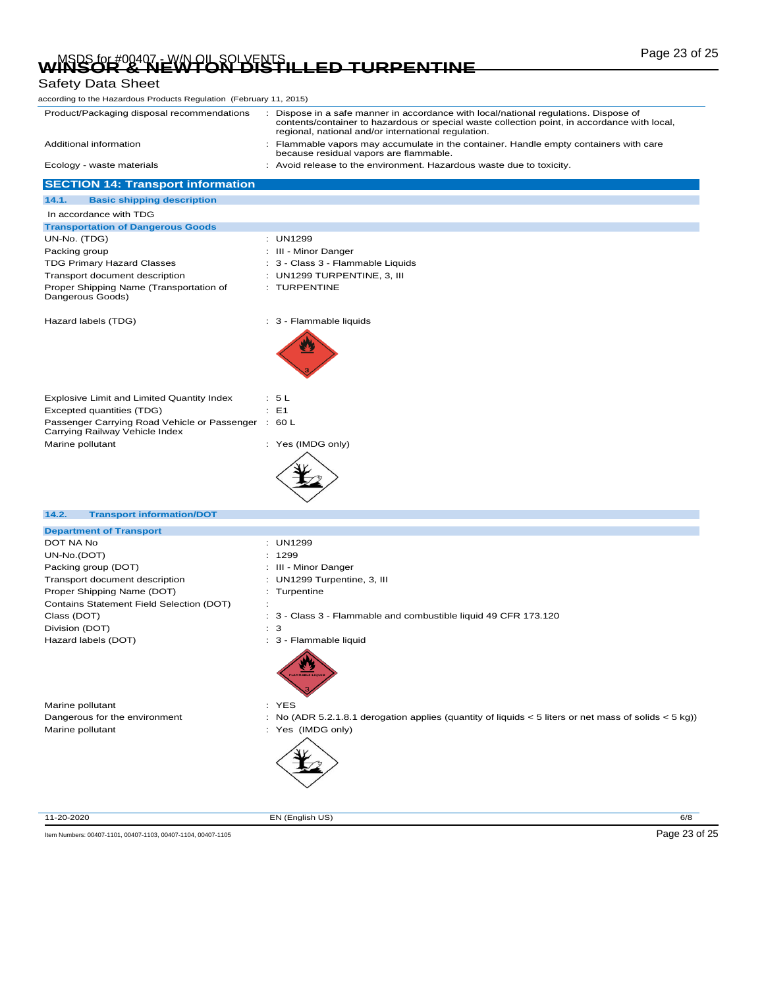# Page 23 of 25 MSDS for #00407 - W/N OIL SOLVENTS **WINSOR & NEWTON DISTILLED TURPENTINE**

# Safety Data Sheet

| Product/Packaging disposal recommendations                                            | : Dispose in a safe manner in accordance with local/national regulations. Dispose of                                                                |
|---------------------------------------------------------------------------------------|-----------------------------------------------------------------------------------------------------------------------------------------------------|
|                                                                                       | contents/container to hazardous or special waste collection point, in accordance with local,<br>regional, national and/or international regulation. |
| Additional information                                                                | : Flammable vapors may accumulate in the container. Handle empty containers with care<br>because residual vapors are flammable.                     |
| Ecology - waste materials                                                             | : Avoid release to the environment. Hazardous waste due to toxicity.                                                                                |
| <b>SECTION 14: Transport information</b>                                              |                                                                                                                                                     |
| 14.1.<br><b>Basic shipping description</b>                                            |                                                                                                                                                     |
| In accordance with TDG                                                                |                                                                                                                                                     |
| <b>Transportation of Dangerous Goods</b>                                              |                                                                                                                                                     |
| UN-No. (TDG)                                                                          | : UN1299                                                                                                                                            |
| Packing group                                                                         | : III - Minor Danger                                                                                                                                |
| <b>TDG Primary Hazard Classes</b>                                                     | : 3 - Class 3 - Flammable Liquids                                                                                                                   |
| Transport document description                                                        | $:$ UN1299 TURPENTINE, 3, III                                                                                                                       |
| Proper Shipping Name (Transportation of<br>Dangerous Goods)                           | : TURPENTINE                                                                                                                                        |
| Hazard labels (TDG)                                                                   | : 3 - Flammable liquids                                                                                                                             |
|                                                                                       |                                                                                                                                                     |
| Explosive Limit and Limited Quantity Index                                            | : 5L                                                                                                                                                |
| Excepted quantities (TDG)                                                             | $E = 1$                                                                                                                                             |
| Passenger Carrying Road Vehicle or Passenger : 60 L<br>Carrying Railway Vehicle Index |                                                                                                                                                     |
| Marine pollutant                                                                      | : Yes (IMDG only)                                                                                                                                   |
|                                                                                       |                                                                                                                                                     |
| 14.2.<br><b>Transport information/DOT</b>                                             |                                                                                                                                                     |
| <b>Department of Transport</b>                                                        |                                                                                                                                                     |
| DOT NA No                                                                             | : UN1299                                                                                                                                            |
| UN-No.(DOT)                                                                           | : 1299                                                                                                                                              |
| Packing group (DOT)                                                                   | : III - Minor Danger                                                                                                                                |
| Transport document description                                                        | : UN1299 Turpentine, 3, III                                                                                                                         |
| Proper Shipping Name (DOT)<br>Contains Statement Field Selection (DOT)                | : Turpentine<br>÷                                                                                                                                   |
| Class (DOT)                                                                           | : 3 - Class 3 - Flammable and combustible liquid 49 CFR 173.120                                                                                     |
| Division (DOT)                                                                        | : 3                                                                                                                                                 |
| Hazard labels (DOT)                                                                   | : 3 - Flammable liquid                                                                                                                              |
|                                                                                       |                                                                                                                                                     |
| Marine pollutant                                                                      | : YES                                                                                                                                               |
| Dangerous for the environment                                                         | No (ADR 5.2.1.8.1 derogation applies (quantity of liquids $\lt 5$ liters or net mass of solids $\lt 5$ kg))                                         |
| Marine pollutant                                                                      | : Yes (IMDG only)                                                                                                                                   |
| 11-20-2020                                                                            | EN (English US)<br>6/8                                                                                                                              |
|                                                                                       |                                                                                                                                                     |
| Item Numbers: 00407-1101, 00407-1103, 00407-1104, 00407-1105                          | Page 23 of 25                                                                                                                                       |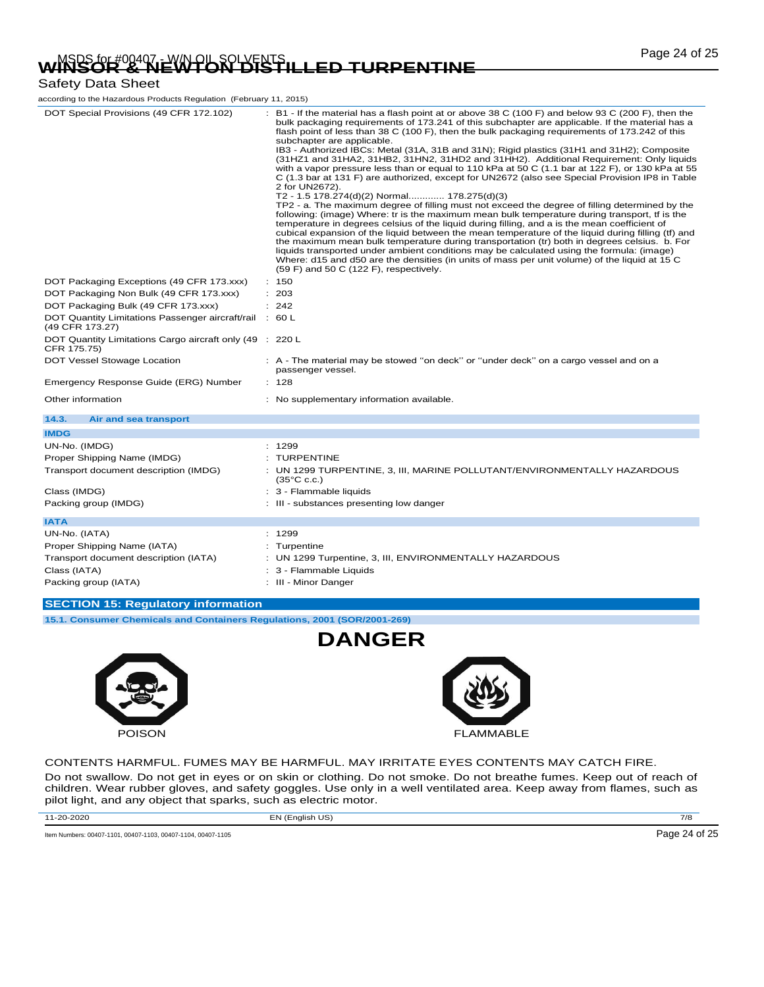# Page 24 of 25 MSDS for #00407 - W/N OIL SOLVENTS **WINSOR & NEWTON DISTILLED TURPENTINE**

### Safety Data Sheet

| according to the Hazardous Products Regulation (February 11, 2015)         |                                                                                                                                                                                                                                                                                                                                                                                                                                                                                                                                                                                                                                                                                                                                                                                                                                                                                                                                                                                                                                                                                                                                                                                                                                                                                                                                                                                                                                                                                                                                                              |
|----------------------------------------------------------------------------|--------------------------------------------------------------------------------------------------------------------------------------------------------------------------------------------------------------------------------------------------------------------------------------------------------------------------------------------------------------------------------------------------------------------------------------------------------------------------------------------------------------------------------------------------------------------------------------------------------------------------------------------------------------------------------------------------------------------------------------------------------------------------------------------------------------------------------------------------------------------------------------------------------------------------------------------------------------------------------------------------------------------------------------------------------------------------------------------------------------------------------------------------------------------------------------------------------------------------------------------------------------------------------------------------------------------------------------------------------------------------------------------------------------------------------------------------------------------------------------------------------------------------------------------------------------|
| DOT Special Provisions (49 CFR 172.102)                                    | : B1 - If the material has a flash point at or above 38 C (100 F) and below 93 C (200 F), then the<br>bulk packaging requirements of 173.241 of this subchapter are applicable. If the material has a<br>flash point of less than 38 C (100 F), then the bulk packaging requirements of 173.242 of this<br>subchapter are applicable.<br>IB3 - Authorized IBCs: Metal (31A, 31B and 31N); Rigid plastics (31H1 and 31H2); Composite<br>(31HZ1 and 31HA2, 31HB2, 31HN2, 31HD2 and 31HH2). Additional Requirement: Only liquids<br>with a vapor pressure less than or equal to 110 kPa at 50 C (1.1 bar at 122 F), or 130 kPa at 55<br>C (1.3 bar at 131 F) are authorized, except for UN2672 (also see Special Provision IP8 in Table<br>2 for UN2672).<br>T2 - 1.5 178.274(d)(2) Normal 178.275(d)(3)<br>TP2 - a. The maximum degree of filling must not exceed the degree of filling determined by the<br>following: (image) Where: tr is the maximum mean bulk temperature during transport, tf is the<br>temperature in degrees celsius of the liquid during filling, and a is the mean coefficient of<br>cubical expansion of the liquid between the mean temperature of the liquid during filling (tf) and<br>the maximum mean bulk temperature during transportation (tr) both in degrees celsius. b. For<br>liquids transported under ambient conditions may be calculated using the formula: (image)<br>Where: d15 and d50 are the densities (in units of mass per unit volume) of the liquid at 15 C<br>$(59 F)$ and 50 C $(122 F)$ , respectively. |
| DOT Packaging Exceptions (49 CFR 173.xxx)                                  | : 150                                                                                                                                                                                                                                                                                                                                                                                                                                                                                                                                                                                                                                                                                                                                                                                                                                                                                                                                                                                                                                                                                                                                                                                                                                                                                                                                                                                                                                                                                                                                                        |
| DOT Packaging Non Bulk (49 CFR 173.xxx)                                    | : 203                                                                                                                                                                                                                                                                                                                                                                                                                                                                                                                                                                                                                                                                                                                                                                                                                                                                                                                                                                                                                                                                                                                                                                                                                                                                                                                                                                                                                                                                                                                                                        |
| DOT Packaging Bulk (49 CFR 173.xxx)                                        | : 242                                                                                                                                                                                                                                                                                                                                                                                                                                                                                                                                                                                                                                                                                                                                                                                                                                                                                                                                                                                                                                                                                                                                                                                                                                                                                                                                                                                                                                                                                                                                                        |
| DOT Quantity Limitations Passenger aircraft/rail : 60 L<br>(49 CFR 173.27) |                                                                                                                                                                                                                                                                                                                                                                                                                                                                                                                                                                                                                                                                                                                                                                                                                                                                                                                                                                                                                                                                                                                                                                                                                                                                                                                                                                                                                                                                                                                                                              |
| DOT Quantity Limitations Cargo aircraft only (49 : 220 L<br>CFR 175.75)    |                                                                                                                                                                                                                                                                                                                                                                                                                                                                                                                                                                                                                                                                                                                                                                                                                                                                                                                                                                                                                                                                                                                                                                                                                                                                                                                                                                                                                                                                                                                                                              |
| DOT Vessel Stowage Location                                                | : A - The material may be stowed "on deck" or "under deck" on a cargo vessel and on a<br>passenger vessel.                                                                                                                                                                                                                                                                                                                                                                                                                                                                                                                                                                                                                                                                                                                                                                                                                                                                                                                                                                                                                                                                                                                                                                                                                                                                                                                                                                                                                                                   |
| Emergency Response Guide (ERG) Number                                      | : 128                                                                                                                                                                                                                                                                                                                                                                                                                                                                                                                                                                                                                                                                                                                                                                                                                                                                                                                                                                                                                                                                                                                                                                                                                                                                                                                                                                                                                                                                                                                                                        |
| Other information                                                          | : No supplementary information available.                                                                                                                                                                                                                                                                                                                                                                                                                                                                                                                                                                                                                                                                                                                                                                                                                                                                                                                                                                                                                                                                                                                                                                                                                                                                                                                                                                                                                                                                                                                    |
| 14.3.<br>Air and sea transport                                             |                                                                                                                                                                                                                                                                                                                                                                                                                                                                                                                                                                                                                                                                                                                                                                                                                                                                                                                                                                                                                                                                                                                                                                                                                                                                                                                                                                                                                                                                                                                                                              |
| <b>IMDG</b>                                                                |                                                                                                                                                                                                                                                                                                                                                                                                                                                                                                                                                                                                                                                                                                                                                                                                                                                                                                                                                                                                                                                                                                                                                                                                                                                                                                                                                                                                                                                                                                                                                              |
| UN-No. (IMDG)                                                              | : 1299                                                                                                                                                                                                                                                                                                                                                                                                                                                                                                                                                                                                                                                                                                                                                                                                                                                                                                                                                                                                                                                                                                                                                                                                                                                                                                                                                                                                                                                                                                                                                       |
| Proper Shipping Name (IMDG)                                                | : TURPENTINE                                                                                                                                                                                                                                                                                                                                                                                                                                                                                                                                                                                                                                                                                                                                                                                                                                                                                                                                                                                                                                                                                                                                                                                                                                                                                                                                                                                                                                                                                                                                                 |
| Transport document description (IMDG)                                      | : UN 1299 TURPENTINE, 3, III, MARINE POLLUTANT/ENVIRONMENTALLY HAZARDOUS<br>$(35^{\circ}$ C c.c.)                                                                                                                                                                                                                                                                                                                                                                                                                                                                                                                                                                                                                                                                                                                                                                                                                                                                                                                                                                                                                                                                                                                                                                                                                                                                                                                                                                                                                                                            |
| Class (IMDG)                                                               | : 3 - Flammable liquids                                                                                                                                                                                                                                                                                                                                                                                                                                                                                                                                                                                                                                                                                                                                                                                                                                                                                                                                                                                                                                                                                                                                                                                                                                                                                                                                                                                                                                                                                                                                      |
| Packing group (IMDG)                                                       | : III - substances presenting low danger                                                                                                                                                                                                                                                                                                                                                                                                                                                                                                                                                                                                                                                                                                                                                                                                                                                                                                                                                                                                                                                                                                                                                                                                                                                                                                                                                                                                                                                                                                                     |
| <b>IATA</b>                                                                |                                                                                                                                                                                                                                                                                                                                                                                                                                                                                                                                                                                                                                                                                                                                                                                                                                                                                                                                                                                                                                                                                                                                                                                                                                                                                                                                                                                                                                                                                                                                                              |
| UN-No. (IATA)                                                              | : 1299                                                                                                                                                                                                                                                                                                                                                                                                                                                                                                                                                                                                                                                                                                                                                                                                                                                                                                                                                                                                                                                                                                                                                                                                                                                                                                                                                                                                                                                                                                                                                       |
| Proper Shipping Name (IATA)                                                | Turpentine                                                                                                                                                                                                                                                                                                                                                                                                                                                                                                                                                                                                                                                                                                                                                                                                                                                                                                                                                                                                                                                                                                                                                                                                                                                                                                                                                                                                                                                                                                                                                   |
| Transport document description (IATA)                                      | : UN 1299 Turpentine, 3, III, ENVIRONMENTALLY HAZARDOUS                                                                                                                                                                                                                                                                                                                                                                                                                                                                                                                                                                                                                                                                                                                                                                                                                                                                                                                                                                                                                                                                                                                                                                                                                                                                                                                                                                                                                                                                                                      |
| Class (IATA)                                                               | 3 - Flammable Liquids                                                                                                                                                                                                                                                                                                                                                                                                                                                                                                                                                                                                                                                                                                                                                                                                                                                                                                                                                                                                                                                                                                                                                                                                                                                                                                                                                                                                                                                                                                                                        |
| Packing group (IATA)                                                       | : III - Minor Danger                                                                                                                                                                                                                                                                                                                                                                                                                                                                                                                                                                                                                                                                                                                                                                                                                                                                                                                                                                                                                                                                                                                                                                                                                                                                                                                                                                                                                                                                                                                                         |
|                                                                            |                                                                                                                                                                                                                                                                                                                                                                                                                                                                                                                                                                                                                                                                                                                                                                                                                                                                                                                                                                                                                                                                                                                                                                                                                                                                                                                                                                                                                                                                                                                                                              |
| <b>SECTION 15: Regulatory information</b>                                  |                                                                                                                                                                                                                                                                                                                                                                                                                                                                                                                                                                                                                                                                                                                                                                                                                                                                                                                                                                                                                                                                                                                                                                                                                                                                                                                                                                                                                                                                                                                                                              |
| 15.1. Consumer Chemicals and Containers Regulations, 2001 (SOR/2001-269)   |                                                                                                                                                                                                                                                                                                                                                                                                                                                                                                                                                                                                                                                                                                                                                                                                                                                                                                                                                                                                                                                                                                                                                                                                                                                                                                                                                                                                                                                                                                                                                              |





CONTENTS HARMFUL. FUMES MAY BE HARMFUL. MAY IRRITATE EYES CONTENTS MAY CATCH FIRE.

Do not swallow. Do not get in eyes or on skin or clothing. Do not smoke. Do not breathe fumes. Keep out of reach of children. Wear rubber gloves, and safety goggles. Use only in a well ventilated area. Keep away from flames, such as pilot light, and any object that sparks, such as electric motor.

**DANGER**

11-20-2020 EN (English US) 7/8

Item Numbers: 00407-1101, 00407-1103, 00407-1104, 00407-1105 **Page 24 of 25**